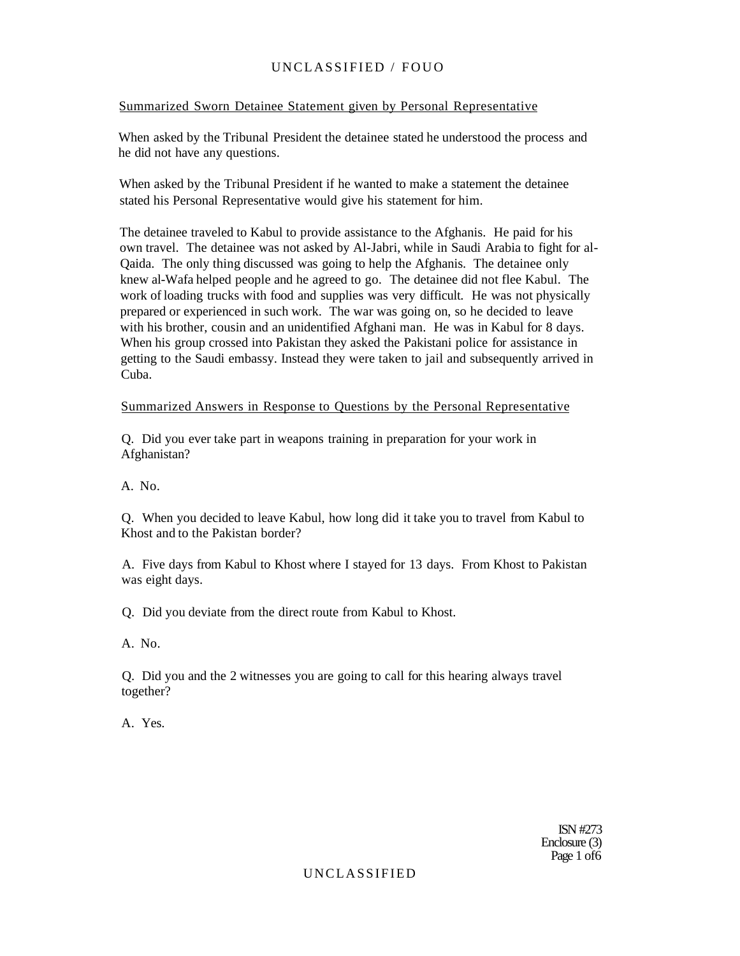### Summarized Sworn Detainee Statement given by Personal Representative

When asked by the Tribunal President the detainee stated he understood the process and he did not have any questions.

When asked by the Tribunal President if he wanted to make a statement the detainee stated his Personal Representative would give his statement for him.

The detainee traveled to Kabul to provide assistance to the Afghanis. He paid for his own travel. The detainee was not asked by Al-Jabri, while in Saudi Arabia to fight for al-Qaida. The only thing discussed was going to help the Afghanis. The detainee only knew al-Wafa helped people and he agreed to go. The detainee did not flee Kabul. The work of loading trucks with food and supplies was very difficult. He was not physically prepared or experienced in such work. The war was going on, so he decided to leave with his brother, cousin and an unidentified Afghani man. He was in Kabul for 8 days. When his group crossed into Pakistan they asked the Pakistani police for assistance in getting to the Saudi embassy. Instead they were taken to jail and subsequently arrived in Cuba.

## Summarized Answers in Response to Questions by the Personal Representative

Q. Did you ever take part in weapons training in preparation for your work in Afghanistan?

A. No.

Q. When you decided to leave Kabul, how long did it take you to travel from Kabul to Khost and to the Pakistan border?

A. Five days from Kabul to Khost where I stayed for 13 days. From Khost to Pakistan was eight days.

Q. Did you deviate from the direct route from Kabul to Khost.

A. No.

Q. Did you and the 2 witnesses you are going to call for this hearing always travel together?

A. Yes.

ISN #273 Enclosure (3) Page 1 of 6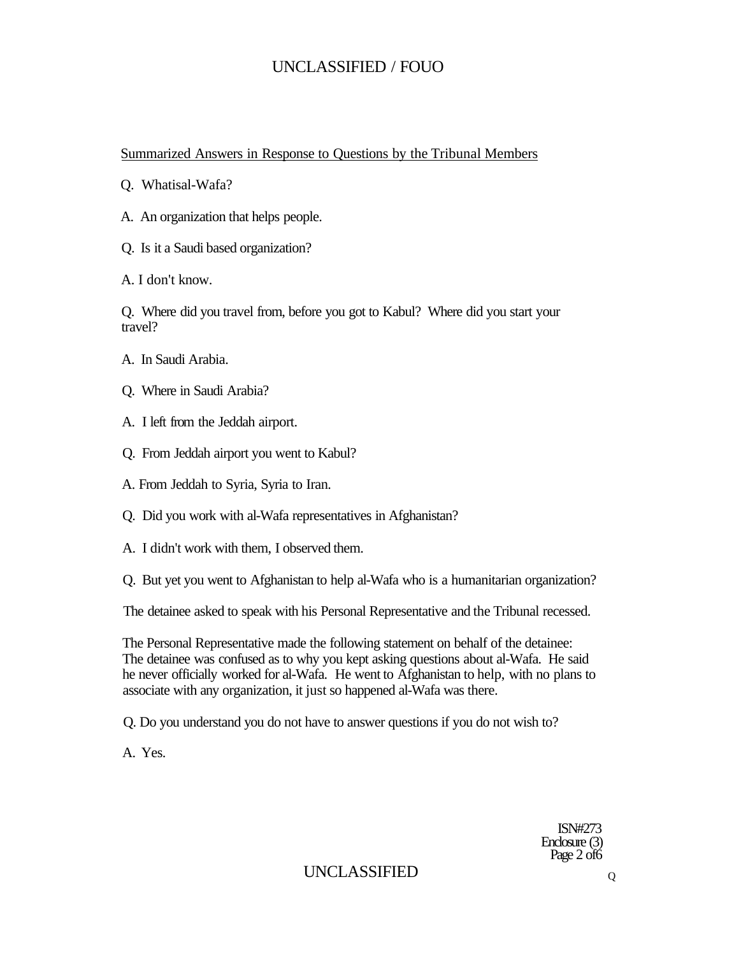## Summarized Answers in Response to Questions by the Tribunal Members

- Q. Whatisal-Wafa?
- A. An organization that helps people.
- Q. Is it a Saudi based organization?
- A. I don't know.

Q. Where did you travel from, before you got to Kabul? Where did you start your travel?

- A. In Saudi Arabia.
- Q. Where in Saudi Arabia?
- A. I left from the Jeddah airport.
- Q. From Jeddah airport you went to Kabul?
- A. From Jeddah to Syria, Syria to Iran.
- Q. Did you work with al-Wafa representatives in Afghanistan?
- A. I didn't work with them, I observed them.
- Q. But yet you went to Afghanistan to help al-Wafa who is a humanitarian organization?

The detainee asked to speak with his Personal Representative and the Tribunal recessed.

The Personal Representative made the following statement on behalf of the detainee: The detainee was confused as to why you kept asking questions about al-Wafa. He said he never officially worked for al-Wafa. He went to Afghanistan to help, with no plans to associate with any organization, it just so happened al-Wafa was there.

Q. Do you understand you do not have to answer questions if you do not wish to?

A. Yes.

ISN#273 Enclosure (3) Page 2 of 6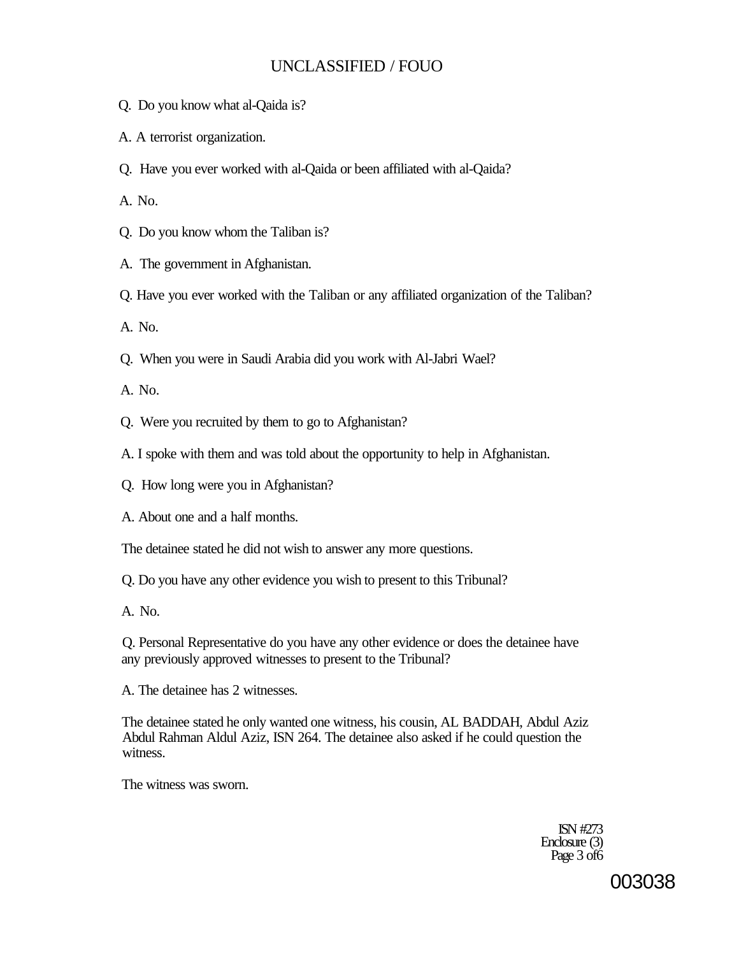- Q. Do you know what al-Qaida is?
- A. A terrorist organization.
- Q. Have you ever worked with al-Qaida or been affiliated with al-Qaida?

A. No.

- Q. Do you know whom the Taliban is?
- A. The government in Afghanistan.
- Q. Have you ever worked with the Taliban or any affiliated organization of the Taliban?

A. No.

Q. When you were in Saudi Arabia did you work with Al-Jabri Wael?

A. No.

- Q. Were you recruited by them to go to Afghanistan?
- A. I spoke with them and was told about the opportunity to help in Afghanistan.
- Q. How long were you in Afghanistan?
- A. About one and a half months.

The detainee stated he did not wish to answer any more questions.

Q. Do you have any other evidence you wish to present to this Tribunal?

A. No.

Q. Personal Representative do you have any other evidence or does the detainee have any previously approved witnesses to present to the Tribunal?

A. The detainee has 2 witnesses.

The detainee stated he only wanted one witness, his cousin, AL BADDAH, Abdul Aziz Abdul Rahman Aldul Aziz, ISN 264. The detainee also asked if he could question the witness.

The witness was sworn.

ISN #273 Enclosure (3) Page 3 of 6

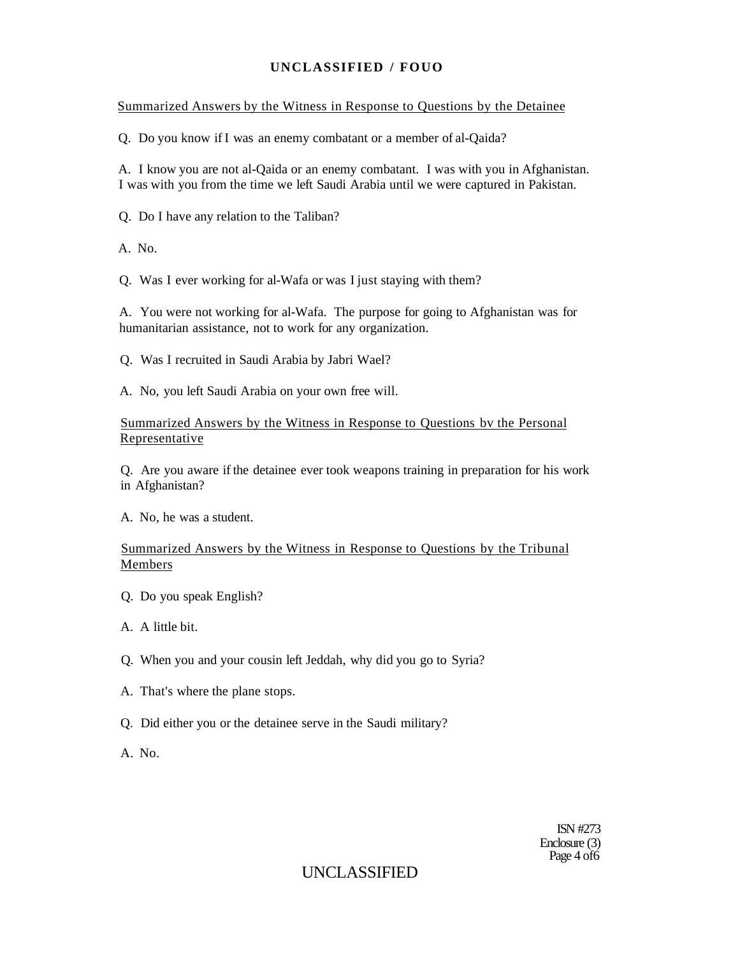### Summarized Answers by the Witness in Response to Questions by the Detainee

Q. Do you know if I was an enemy combatant or a member of al-Qaida?

A. I know you are not al-Qaida or an enemy combatant. I was with you in Afghanistan. I was with you from the time we left Saudi Arabia until we were captured in Pakistan.

Q. Do I have any relation to the Taliban?

A. No.

Q. Was I ever working for al-Wafa or was I just staying with them?

A. You were not working for al-Wafa. The purpose for going to Afghanistan was for humanitarian assistance, not to work for any organization.

Q. Was I recruited in Saudi Arabia by Jabri Wael?

A. No, you left Saudi Arabia on your own free will.

#### Summarized Answers by the Witness in Response to Questions bv the Personal Representative

Q. Are you aware if the detainee ever took weapons training in preparation for his work in Afghanistan?

A. No, he was a student.

## Summarized Answers by the Witness in Response to Questions by the Tribunal Members

Q. Do you speak English?

A. A little bit.

- Q. When you and your cousin left Jeddah, why did you go to Syria?
- A. That's where the plane stops.
- Q. Did either you or the detainee serve in the Saudi military?

A. No.

ISN #273 Enclosure (3) Page 4 of 6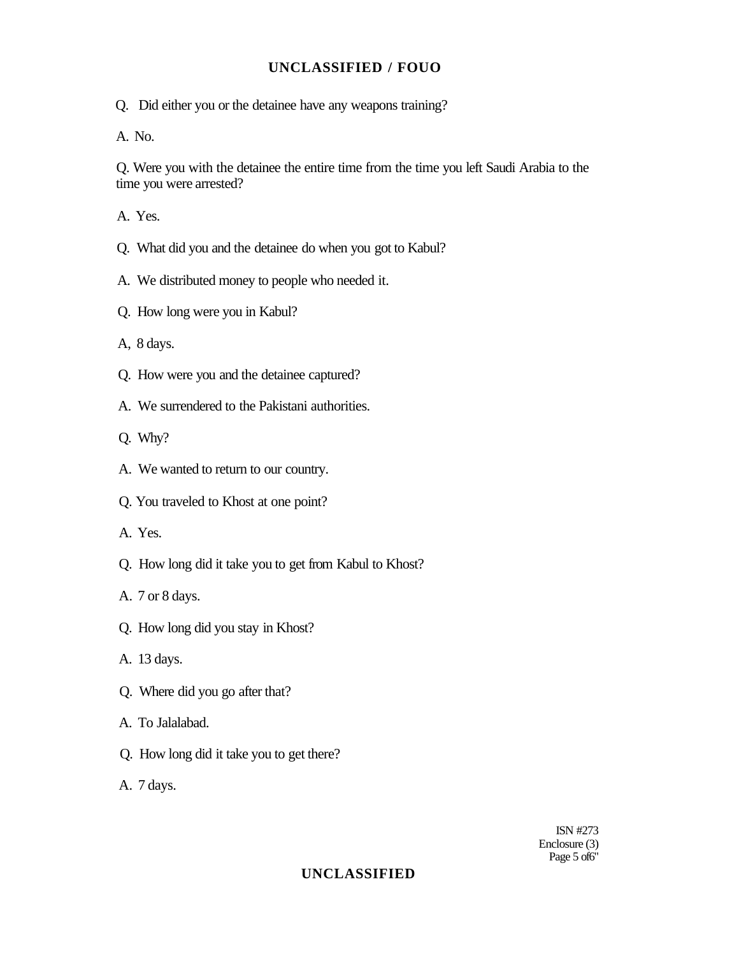Q. Did either you or the detainee have any weapons training?

A. No.

Q. Were you with the detainee the entire time from the time you left Saudi Arabia to the time you were arrested?

A. Yes.

- Q. What did you and the detainee do when you got to Kabul?
- A. We distributed money to people who needed it.
- Q. How long were you in Kabul?

A, 8 days.

- Q. How were you and the detainee captured?
- A. We surrendered to the Pakistani authorities.
- Q. Why?
- A. We wanted to return to our country.
- Q. You traveled to Khost at one point?
- A. Yes.
- Q. How long did it take you to get from Kabul to Khost?
- A. 7 or 8 days.
- Q. How long did you stay in Khost?
- A. 13 days.
- Q. Where did you go after that?
- A. To Jalalabad.
- Q. How long did it take you to get there?
- A. 7 days.

ISN #273 Enclosure (3) Page 5 of 6"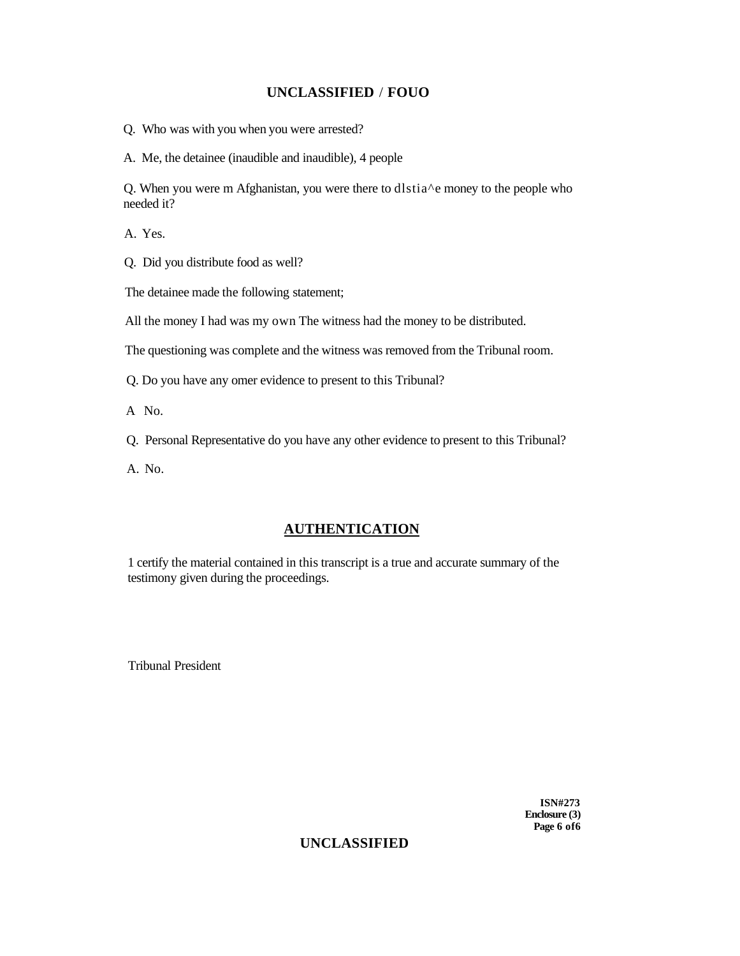Q. Who was with you when you were arrested?

A. Me, the detainee (inaudible and inaudible), 4 people

Q. When you were m Afghanistan, you were there to dlstia^e money to the people who needed it?

A. Yes.

Q. Did you distribute food as well?

The detainee made the following statement;

All the money I had was my own The witness had the money to be distributed.

The questioning was complete and the witness was removed from the Tribunal room.

Q. Do you have any omer evidence to present to this Tribunal?

A No.

Q. Personal Representative do you have any other evidence to present to this Tribunal?

A. No.

## **AUTHENTICATION**

1 certify the material contained in this transcript is a true and accurate summary of the testimony given during the proceedings.

Tribunal President

**ISN#273 Enclosure (3) Page 6 of6**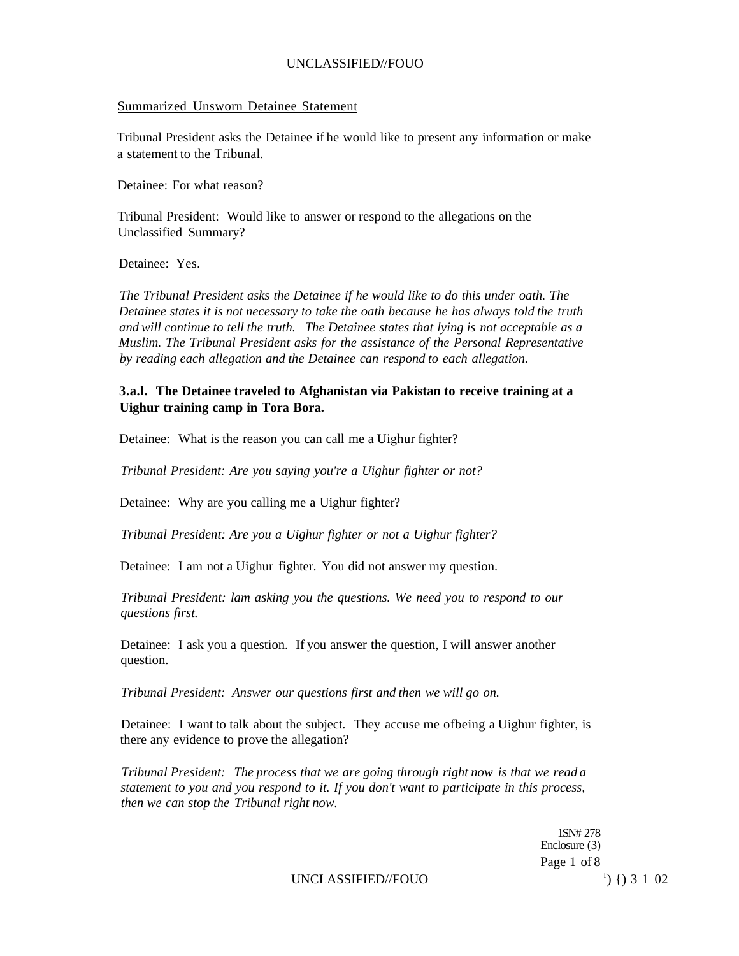#### Summarized Unsworn Detainee Statement

Tribunal President asks the Detainee if he would like to present any information or make a statement to the Tribunal.

Detainee: For what reason?

Tribunal President: Would like to answer or respond to the allegations on the Unclassified Summary?

Detainee: Yes.

*The Tribunal President asks the Detainee if he would like to do this under oath. The Detainee states it is not necessary to take the oath because he has always told the truth and will continue to tell the truth. The Detainee states that lying is not acceptable as a Muslim. The Tribunal President asks for the assistance of the Personal Representative by reading each allegation and the Detainee can respond to each allegation.* 

### **3.a.l. The Detainee traveled to Afghanistan via Pakistan to receive training at a Uighur training camp in Tora Bora.**

Detainee: What is the reason you can call me a Uighur fighter?

*Tribunal President: Are you saying you're a Uighur fighter or not?* 

Detainee: Why are you calling me a Uighur fighter?

*Tribunal President: Are you a Uighur fighter or not a Uighur fighter?* 

Detainee: I am not a Uighur fighter. You did not answer my question.

*Tribunal President: lam asking you the questions. We need you to respond to our questions first.* 

Detainee: I ask you a question. If you answer the question, I will answer another question.

*Tribunal President: Answer our questions first and then we will go on.* 

Detainee: I want to talk about the subject. They accuse me ofbeing a Uighur fighter, is there any evidence to prove the allegation?

*Tribunal President: The process that we are going through right now is that we read a statement to you and you respond to it. If you don't want to participate in this process, then we can stop the Tribunal right now.* 

> 1SN# 278 Enclosure (3) Page 1 of 8

UNCLASSIFIED//FOUO

 $r)$  {  $)$  3 1 02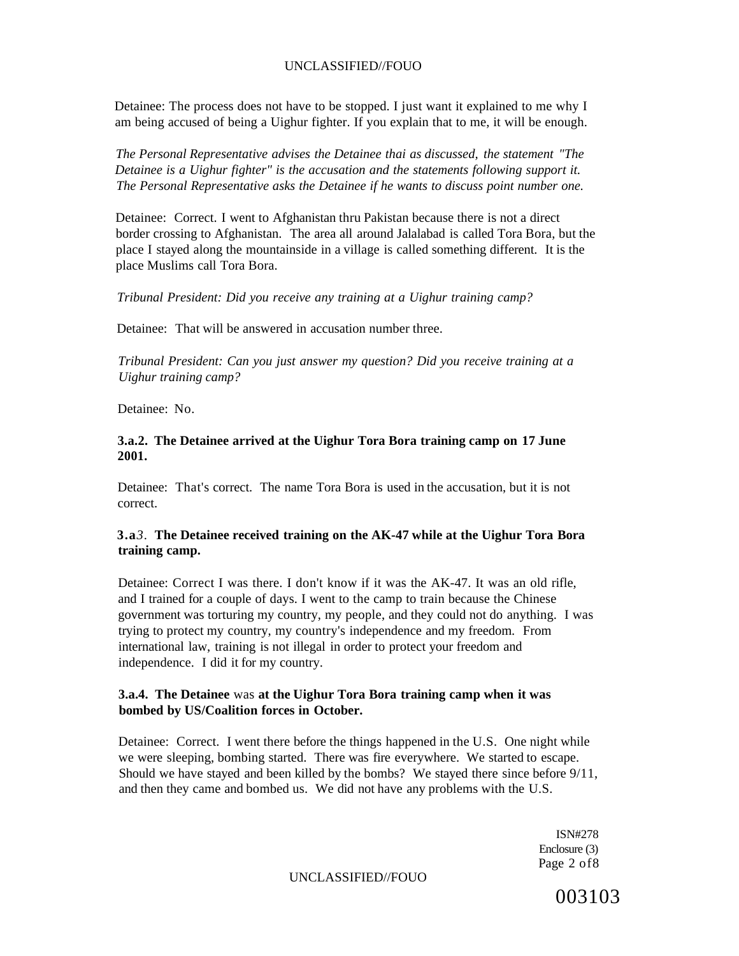Detainee: The process does not have to be stopped. I just want it explained to me why I am being accused of being a Uighur fighter. If you explain that to me, it will be enough.

*The Personal Representative advises the Detainee thai as discussed, the statement "The Detainee is a Uighur fighter" is the accusation and the statements following support it. The Personal Representative asks the Detainee if he wants to discuss point number one.* 

Detainee: Correct. I went to Afghanistan thru Pakistan because there is not a direct border crossing to Afghanistan. The area all around Jalalabad is called Tora Bora, but the place I stayed along the mountainside in a village is called something different. It is the place Muslims call Tora Bora.

*Tribunal President: Did you receive any training at a Uighur training camp?* 

Detainee: That will be answered in accusation number three.

*Tribunal President: Can you just answer my question? Did you receive training at a Uighur training camp?* 

Detainee: No.

#### **3.a.2. The Detainee arrived at the Uighur Tora Bora training camp on 17 June 2001.**

Detainee: That's correct. The name Tora Bora is used in the accusation, but it is not correct.

#### **3.a***3.* **The Detainee received training on the AK-47 while at the Uighur Tora Bora training camp.**

Detainee: Correct I was there. I don't know if it was the AK-47. It was an old rifle, and I trained for a couple of days. I went to the camp to train because the Chinese government was torturing my country, my people, and they could not do anything. I was trying to protect my country, my country's independence and my freedom. From international law, training is not illegal in order to protect your freedom and independence. I did it for my country.

### **3.a.4. The Detainee** was **at the Uighur Tora Bora training camp when it was bombed by US/Coalition forces in October.**

Detainee: Correct. I went there before the things happened in the U.S. One night while we were sleeping, bombing started. There was fire everywhere. We started to escape. Should we have stayed and been killed by the bombs? We stayed there since before 9/11, and then they came and bombed us. We did not have any problems with the U.S.

> ISN#278 Enclosure (3) Page 2 of8

#### UNCLASSIFIED//FOUO

003103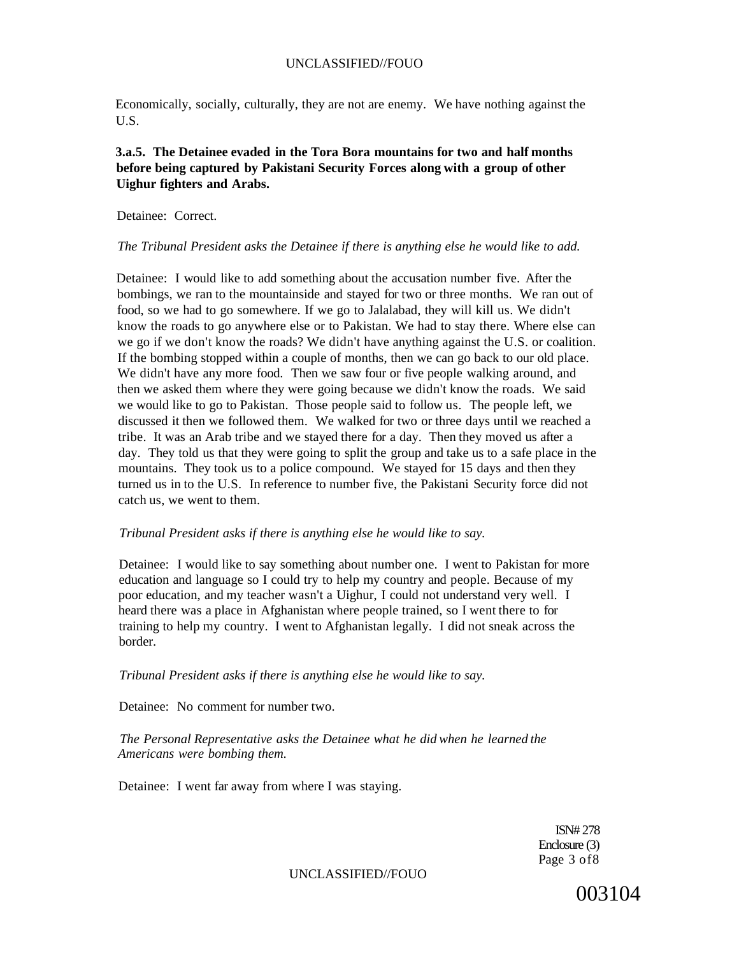Economically, socially, culturally, they are not are enemy. We have nothing against the U.S.

### **3.a.5. The Detainee evaded in the Tora Bora mountains for two and half months before being captured by Pakistani Security Forces along with a group of other Uighur fighters and Arabs.**

Detainee: Correct.

#### *The Tribunal President asks the Detainee if there is anything else he would like to add.*

Detainee: I would like to add something about the accusation number five. After the bombings, we ran to the mountainside and stayed for two or three months. We ran out of food, so we had to go somewhere. If we go to Jalalabad, they will kill us. We didn't know the roads to go anywhere else or to Pakistan. We had to stay there. Where else can we go if we don't know the roads? We didn't have anything against the U.S. or coalition. If the bombing stopped within a couple of months, then we can go back to our old place. We didn't have any more food. Then we saw four or five people walking around, and then we asked them where they were going because we didn't know the roads. We said we would like to go to Pakistan. Those people said to follow us. The people left, we discussed it then we followed them. We walked for two or three days until we reached a tribe. It was an Arab tribe and we stayed there for a day. Then they moved us after a day. They told us that they were going to split the group and take us to a safe place in the mountains. They took us to a police compound. We stayed for 15 days and then they turned us in to the U.S. In reference to number five, the Pakistani Security force did not catch us, we went to them.

#### *Tribunal President asks if there is anything else he would like to say.*

Detainee: I would like to say something about number one. I went to Pakistan for more education and language so I could try to help my country and people. Because of my poor education, and my teacher wasn't a Uighur, I could not understand very well. I heard there was a place in Afghanistan where people trained, so I went there to for training to help my country. I went to Afghanistan legally. I did not sneak across the border.

*Tribunal President asks if there is anything else he would like to say.* 

Detainee: No comment for number two.

*The Personal Representative asks the Detainee what he did when he learned the Americans were bombing them.* 

Detainee: I went far away from where I was staying.

ISN# 278 Enclosure (3) Page 3 of8

UNCLASSIFIED//FOUO

003104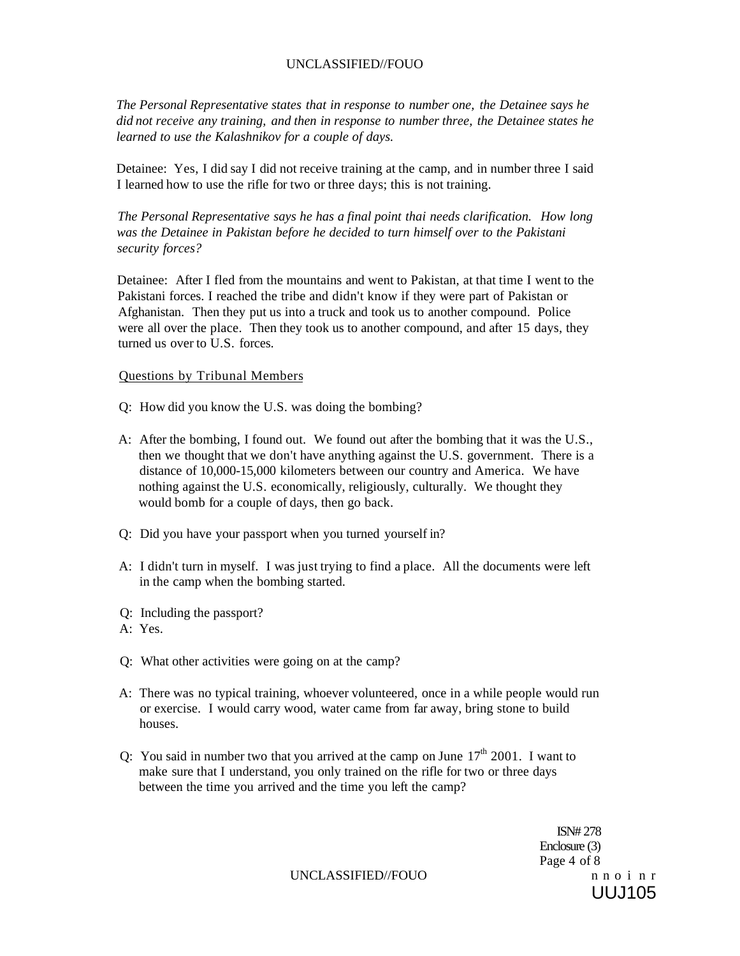*The Personal Representative states that in response to number one, the Detainee says he did not receive any training, and then in response to number three, the Detainee states he learned to use the Kalashnikov for a couple of days.* 

Detainee: Yes, I did say I did not receive training at the camp, and in number three I said I learned how to use the rifle for two or three days; this is not training.

*The Personal Representative says he has a final point thai needs clarification. How long was the Detainee in Pakistan before he decided to turn himself over to the Pakistani security forces?* 

Detainee: After I fled from the mountains and went to Pakistan, at that time I went to the Pakistani forces. I reached the tribe and didn't know if they were part of Pakistan or Afghanistan. Then they put us into a truck and took us to another compound. Police were all over the place. Then they took us to another compound, and after 15 days, they turned us over to U.S. forces.

#### Questions by Tribunal Members

- Q: How did you know the U.S. was doing the bombing?
- A: After the bombing, I found out. We found out after the bombing that it was the U.S., then we thought that we don't have anything against the U.S. government. There is a distance of 10,000-15,000 kilometers between our country and America. We have nothing against the U.S. economically, religiously, culturally. We thought they would bomb for a couple of days, then go back.
- Q: Did you have your passport when you turned yourself in?
- A: I didn't turn in myself. I was just trying to find a place. All the documents were left in the camp when the bombing started.
- Q: Including the passport?
- A: Yes.
- Q: What other activities were going on at the camp?
- A: There was no typical training, whoever volunteered, once in a while people would run or exercise. I would carry wood, water came from far away, bring stone to build houses.
- Q: You said in number two that you arrived at the camp on June  $17<sup>th</sup> 2001$ . I want to make sure that I understand, you only trained on the rifle for two or three days between the time you arrived and the time you left the camp?

ISN# 278 Enclosure (3) Page 4 of 8 UUJ105

UNCLASSIFIED//FOUO n n o i n r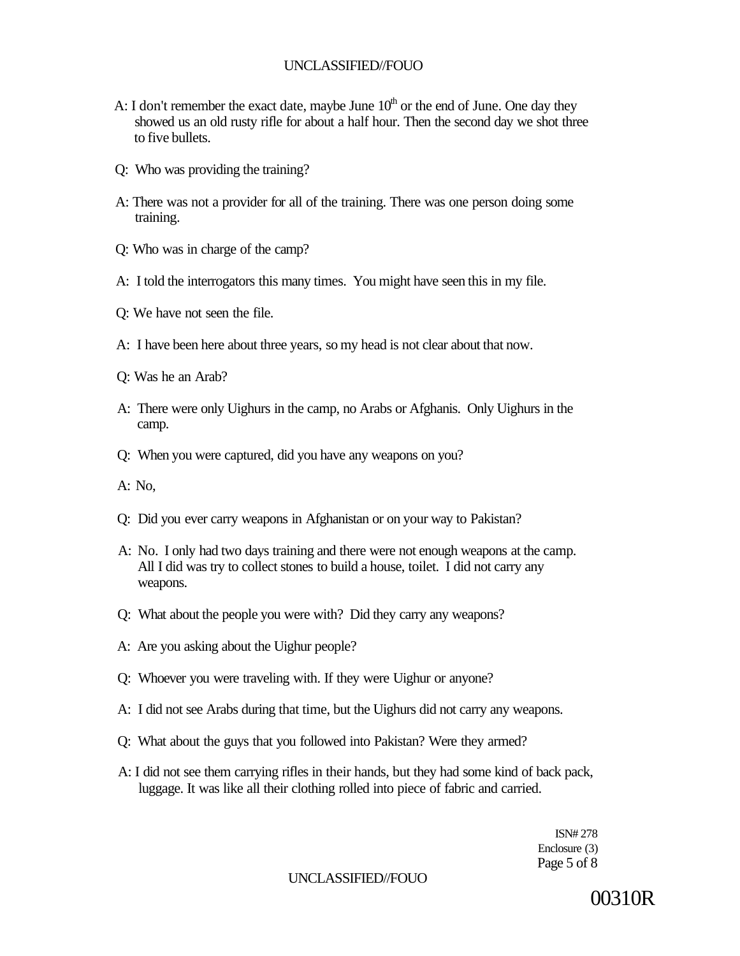- A: I don't remember the exact date, maybe June  $10<sup>th</sup>$  or the end of June. One day they showed us an old rusty rifle for about a half hour. Then the second day we shot three to five bullets.
- Q: Who was providing the training?
- A: There was not a provider for all of the training. There was one person doing some training.
- Q: Who was in charge of the camp?
- A: I told the interrogators this many times. You might have seen this in my file.
- Q: We have not seen the file.
- A: I have been here about three years, so my head is not clear about that now.
- Q: Was he an Arab?
- A: There were only Uighurs in the camp, no Arabs or Afghanis. Only Uighurs in the camp.
- Q: When you were captured, did you have any weapons on you?
- A: No,
- Q: Did you ever carry weapons in Afghanistan or on your way to Pakistan?
- A: No. I only had two days training and there were not enough weapons at the camp. All I did was try to collect stones to build a house, toilet. I did not carry any weapons.
- Q: What about the people you were with? Did they carry any weapons?
- A: Are you asking about the Uighur people?
- Q: Whoever you were traveling with. If they were Uighur or anyone?
- A: I did not see Arabs during that time, but the Uighurs did not carry any weapons.
- Q: What about the guys that you followed into Pakistan? Were they armed?
- A: I did not see them carrying rifles in their hands, but they had some kind of back pack, luggage. It was like all their clothing rolled into piece of fabric and carried.

ISN# 278 Enclosure (3) Page 5 of 8

UNCLASSIFIED//FOUO

00310R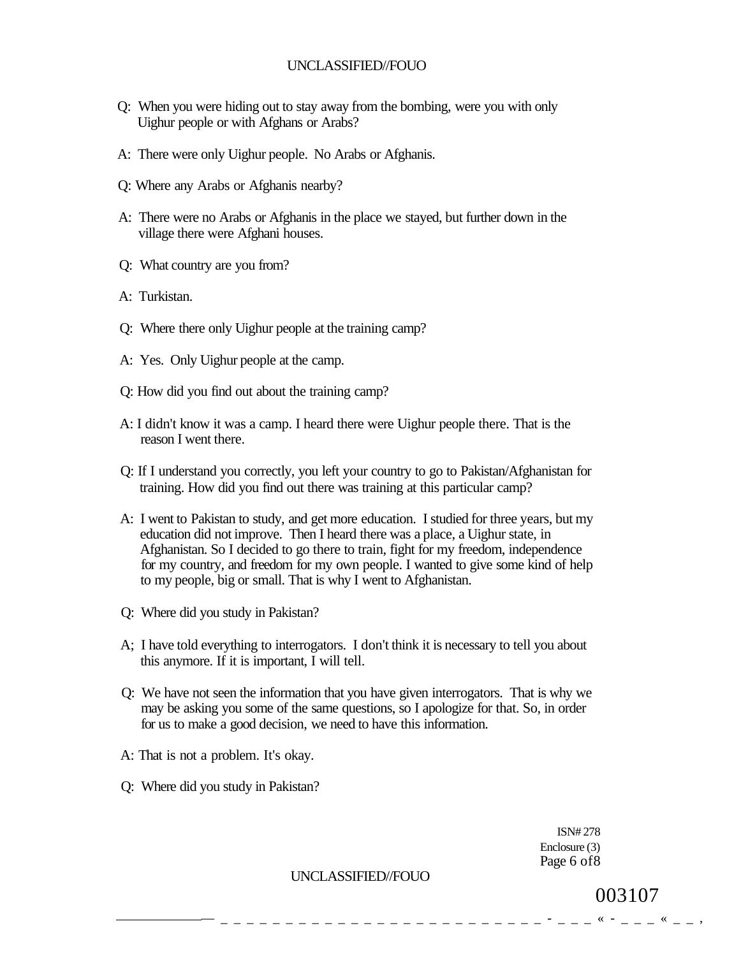- Q: When you were hiding out to stay away from the bombing, were you with only Uighur people or with Afghans or Arabs?
- A: There were only Uighur people. No Arabs or Afghanis.
- Q: Where any Arabs or Afghanis nearby?
- A: There were no Arabs or Afghanis in the place we stayed, but further down in the village there were Afghani houses.
- Q: What country are you from?
- A: Turkistan.
- Q: Where there only Uighur people at the training camp?
- A: Yes. Only Uighur people at the camp.
- Q: How did you find out about the training camp?
- A: I didn't know it was a camp. I heard there were Uighur people there. That is the reason I went there.
- Q: If I understand you correctly, you left your country to go to Pakistan/Afghanistan for training. How did you find out there was training at this particular camp?
- A: I went to Pakistan to study, and get more education. I studied for three years, but my education did not improve. Then I heard there was a place, a Uighur state, in Afghanistan. So I decided to go there to train, fight for my freedom, independence for my country, and freedom for my own people. I wanted to give some kind of help to my people, big or small. That is why I went to Afghanistan.
- Q: Where did you study in Pakistan?
- A; I have told everything to interrogators. I don't think it is necessary to tell you about this anymore. If it is important, I will tell.
- Q: We have not seen the information that you have given interrogators. That is why we may be asking you some of the same questions, so I apologize for that. So, in order for us to make a good decision, we need to have this information.
- A: That is not a problem. It's okay.
- Q: Where did you study in Pakistan?

ISN# 278 Enclosure (3) Page 6 of8

UNCLASSIFIED//FOUO

003107

 $\frac{4}{3}$   $\frac{4}{3}$   $\frac{4}{3}$   $\frac{4}{3}$   $-$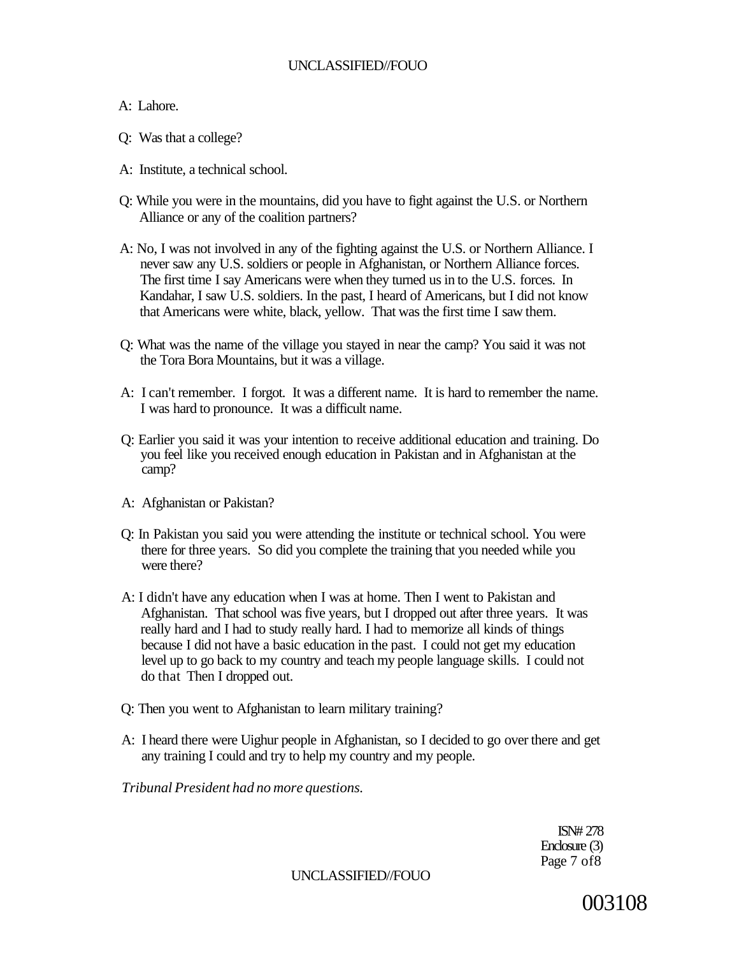## A: Lahore.

- Q: Was that a college?
- A: Institute, a technical school.
- Q: While you were in the mountains, did you have to fight against the U.S. or Northern Alliance or any of the coalition partners?
- A: No, I was not involved in any of the fighting against the U.S. or Northern Alliance. I never saw any U.S. soldiers or people in Afghanistan, or Northern Alliance forces. The first time I say Americans were when they turned us in to the U.S. forces. In Kandahar, I saw U.S. soldiers. In the past, I heard of Americans, but I did not know that Americans were white, black, yellow. That was the first time I saw them.
- Q: What was the name of the village you stayed in near the camp? You said it was not the Tora Bora Mountains, but it was a village.
- A: I can't remember. I forgot. It was a different name. It is hard to remember the name. I was hard to pronounce. It was a difficult name.
- Q: Earlier you said it was your intention to receive additional education and training. Do you feel like you received enough education in Pakistan and in Afghanistan at the camp?
- A: Afghanistan or Pakistan?
- Q: In Pakistan you said you were attending the institute or technical school. You were there for three years. So did you complete the training that you needed while you were there?
- A: I didn't have any education when I was at home. Then I went to Pakistan and Afghanistan. That school was five years, but I dropped out after three years. It was really hard and I had to study really hard. I had to memorize all kinds of things because I did not have a basic education in the past. I could not get my education level up to go back to my country and teach my people language skills. I could not do that Then I dropped out.
- Q: Then you went to Afghanistan to learn military training?
- A: I heard there were Uighur people in Afghanistan, so I decided to go over there and get any training I could and try to help my country and my people.

*Tribunal President had no more questions.* 

ISN# 278 Enclosure (3) Page 7 of8

UNCLASSIFIED//FOUO

003108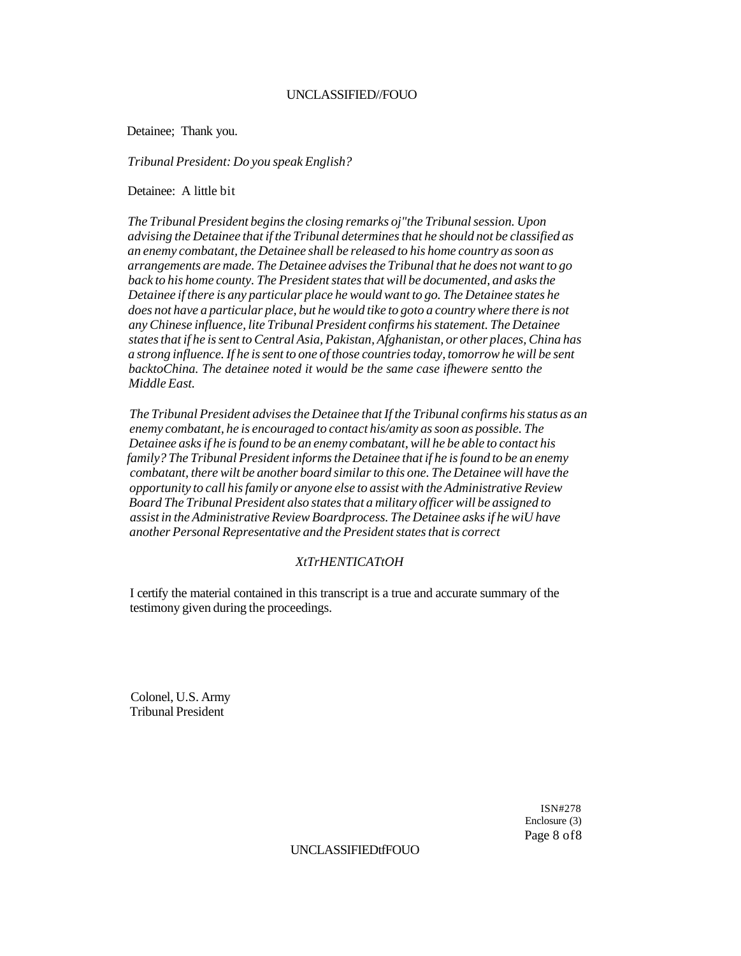Detainee; Thank you.

*Tribunal President: Do you speak English?* 

Detainee: A little bit

*The Tribunal President begins the closing remarks oj"the Tribunal session. Upon advising the Detainee that if the Tribunal determines that he should not be classified as an enemy combatant, the Detainee shall be released to his home country as soon as arrangements are made. The Detainee advises the Tribunal that he does not want to go back to his home county. The President states that will be documented, and asks the Detainee if there is any particular place he would want to go. The Detainee states he does not have a particular place, but he would tike to goto a country where there is not any Chinese influence, lite Tribunal President confirms his statement. The Detainee states that if he is sent to Central Asia, Pakistan, Afghanistan, or other places, China has a strong influence. If he is sent to one of those countries today, tomorrow he will be sent*  backtoChina. The detainee noted it would be the same case ifhewere sentto the *Middle East.* 

*The Tribunal President advises the Detainee that If the Tribunal confirms his status as an enemy combatant, he is encouraged to contact his/amity as soon as possible. The Detainee asks if he is found to be an enemy combatant, will he be able to contact his family? The Tribunal President informs the Detainee that if he is found to be an enemy combatant, there wilt be another board similar to this one. The Detainee will have the opportunity to call his family or anyone else to assist with the Administrative Review Board The Tribunal President also states that a military officer will be assigned to assist in the Administrative Review Boardprocess. The Detainee asks if he wiU have another Personal Representative and the President states that is correct* 

### *XtTrHENTICATtOH*

I certify the material contained in this transcript is a true and accurate summary of the testimony given during the proceedings.

Colonel, U.S. Army Tribunal President

> ISN#278 Enclosure (3) Page 8 of8

#### UNCLASSIFIEDtfFOUO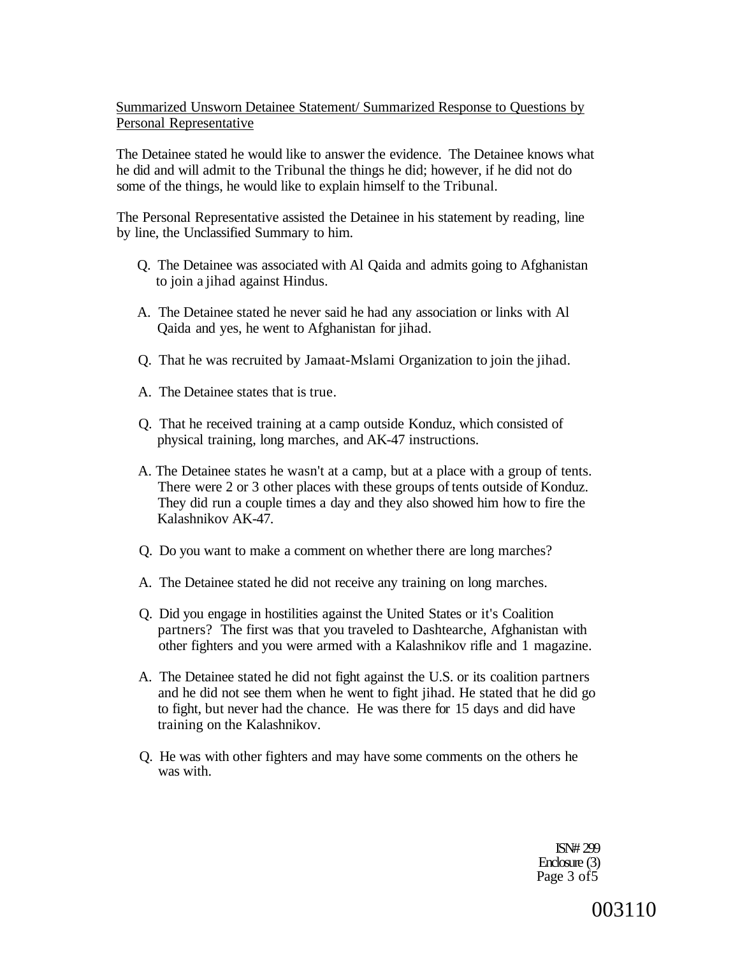## Summarized Unsworn Detainee Statement/ Summarized Response to Questions by Personal Representative

The Detainee stated he would like to answer the evidence. The Detainee knows what he did and will admit to the Tribunal the things he did; however, if he did not do some of the things, he would like to explain himself to the Tribunal.

The Personal Representative assisted the Detainee in his statement by reading, line by line, the Unclassified Summary to him.

- Q. The Detainee was associated with Al Qaida and admits going to Afghanistan to join a jihad against Hindus.
- A. The Detainee stated he never said he had any association or links with Al Qaida and yes, he went to Afghanistan for jihad.
- Q. That he was recruited by Jamaat-Mslami Organization to join the jihad.
- A. The Detainee states that is true.
- Q. That he received training at a camp outside Konduz, which consisted of physical training, long marches, and AK-47 instructions.
- A. The Detainee states he wasn't at a camp, but at a place with a group of tents. There were 2 or 3 other places with these groups of tents outside of Konduz. They did run a couple times a day and they also showed him how to fire the Kalashnikov AK-47.
- Q. Do you want to make a comment on whether there are long marches?
- A. The Detainee stated he did not receive any training on long marches.
- Q. Did you engage in hostilities against the United States or it's Coalition partners? The first was that you traveled to Dashtearche, Afghanistan with other fighters and you were armed with a Kalashnikov rifle and 1 magazine.
- A. The Detainee stated he did not fight against the U.S. or its coalition partners and he did not see them when he went to fight jihad. He stated that he did go to fight, but never had the chance. He was there for 15 days and did have training on the Kalashnikov.
- Q. He was with other fighters and may have some comments on the others he was with.

ISN# 299 Enclosure (3) Page 3 of5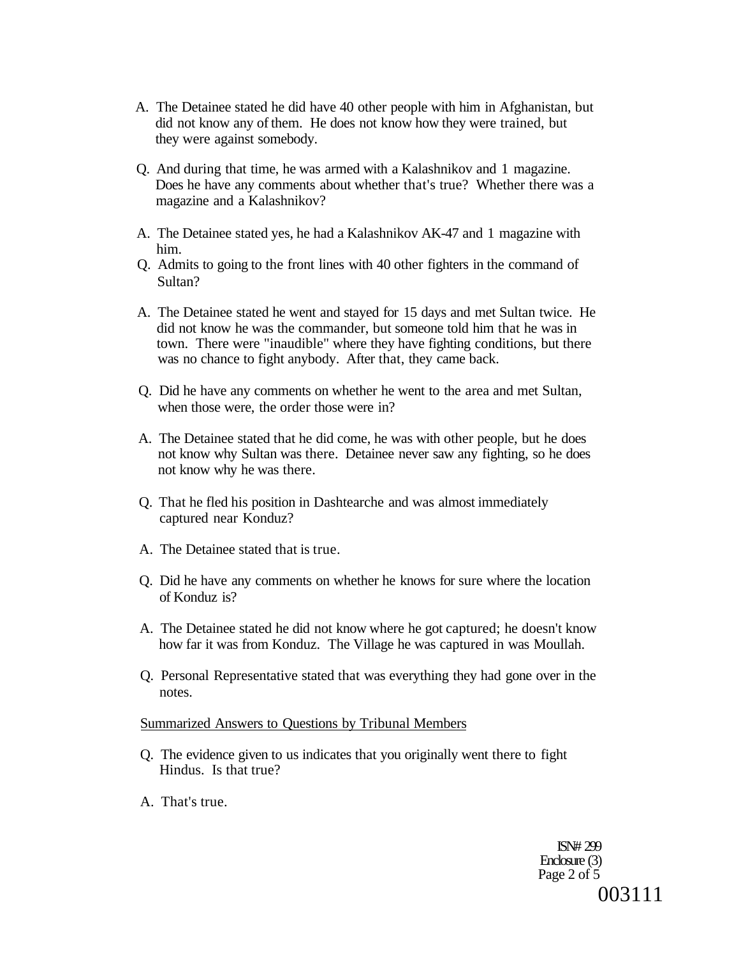- A. The Detainee stated he did have 40 other people with him in Afghanistan, but did not know any of them. He does not know how they were trained, but they were against somebody.
- Q. And during that time, he was armed with a Kalashnikov and 1 magazine. Does he have any comments about whether that's true? Whether there was a magazine and a Kalashnikov?
- A. The Detainee stated yes, he had a Kalashnikov AK-47 and 1 magazine with him.
- Q. Admits to going to the front lines with 40 other fighters in the command of Sultan?
- A. The Detainee stated he went and stayed for 15 days and met Sultan twice. He did not know he was the commander, but someone told him that he was in town. There were "inaudible" where they have fighting conditions, but there was no chance to fight anybody. After that, they came back.
- Q. Did he have any comments on whether he went to the area and met Sultan, when those were, the order those were in?
- A. The Detainee stated that he did come, he was with other people, but he does not know why Sultan was there. Detainee never saw any fighting, so he does not know why he was there.
- Q. That he fled his position in Dashtearche and was almost immediately captured near Konduz?
- A. The Detainee stated that is true.
- Q. Did he have any comments on whether he knows for sure where the location of Konduz is?
- A. The Detainee stated he did not know where he got captured; he doesn't know how far it was from Konduz. The Village he was captured in was Moullah.
- Q. Personal Representative stated that was everything they had gone over in the notes.

#### Summarized Answers to Questions by Tribunal Members

- Q. The evidence given to us indicates that you originally went there to fight Hindus. Is that true?
- A. That's true.

ISN# 299 Enclosure (3) Page 2 of 5 003111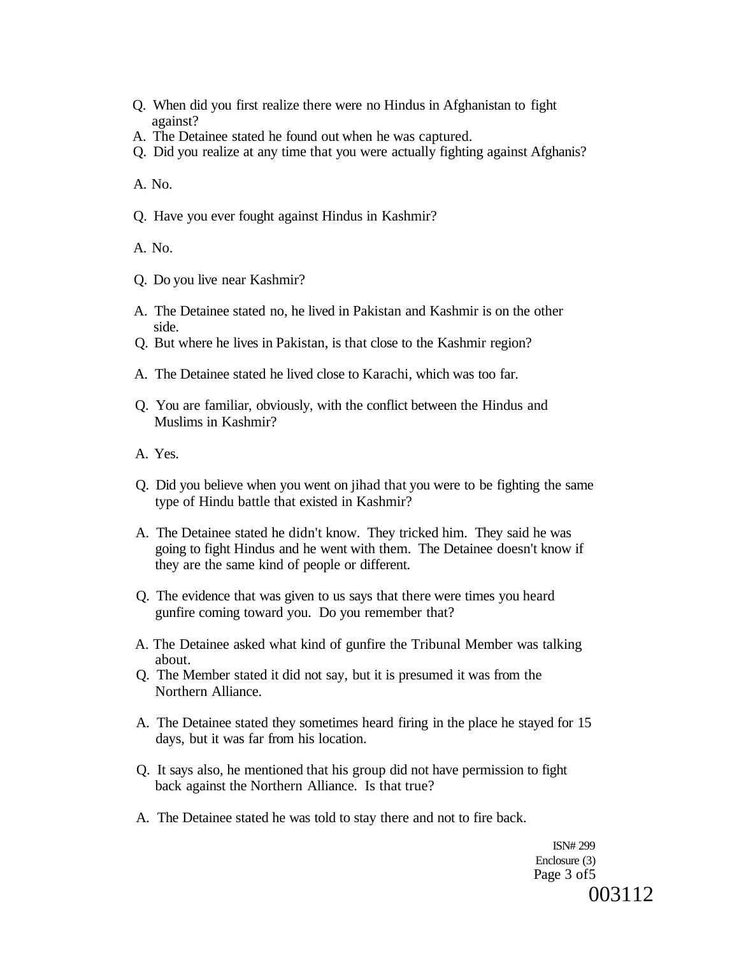- Q. When did you first realize there were no Hindus in Afghanistan to fight against?
- A. The Detainee stated he found out when he was captured.
- Q. Did you realize at any time that you were actually fighting against Afghanis?

A. No.

Q. Have you ever fought against Hindus in Kashmir?

A. No.

- Q. Do you live near Kashmir?
- A. The Detainee stated no, he lived in Pakistan and Kashmir is on the other side.
- Q. But where he lives in Pakistan, is that close to the Kashmir region?
- A. The Detainee stated he lived close to Karachi, which was too far.
- Q. You are familiar, obviously, with the conflict between the Hindus and Muslims in Kashmir?
- A. Yes.
- Q. Did you believe when you went on jihad that you were to be fighting the same type of Hindu battle that existed in Kashmir?
- A. The Detainee stated he didn't know. They tricked him. They said he was going to fight Hindus and he went with them. The Detainee doesn't know if they are the same kind of people or different.
- Q. The evidence that was given to us says that there were times you heard gunfire coming toward you. Do you remember that?
- A. The Detainee asked what kind of gunfire the Tribunal Member was talking about.
- Q. The Member stated it did not say, but it is presumed it was from the Northern Alliance.
- A. The Detainee stated they sometimes heard firing in the place he stayed for 15 days, but it was far from his location.
- Q. It says also, he mentioned that his group did not have permission to fight back against the Northern Alliance. Is that true?
- A. The Detainee stated he was told to stay there and not to fire back.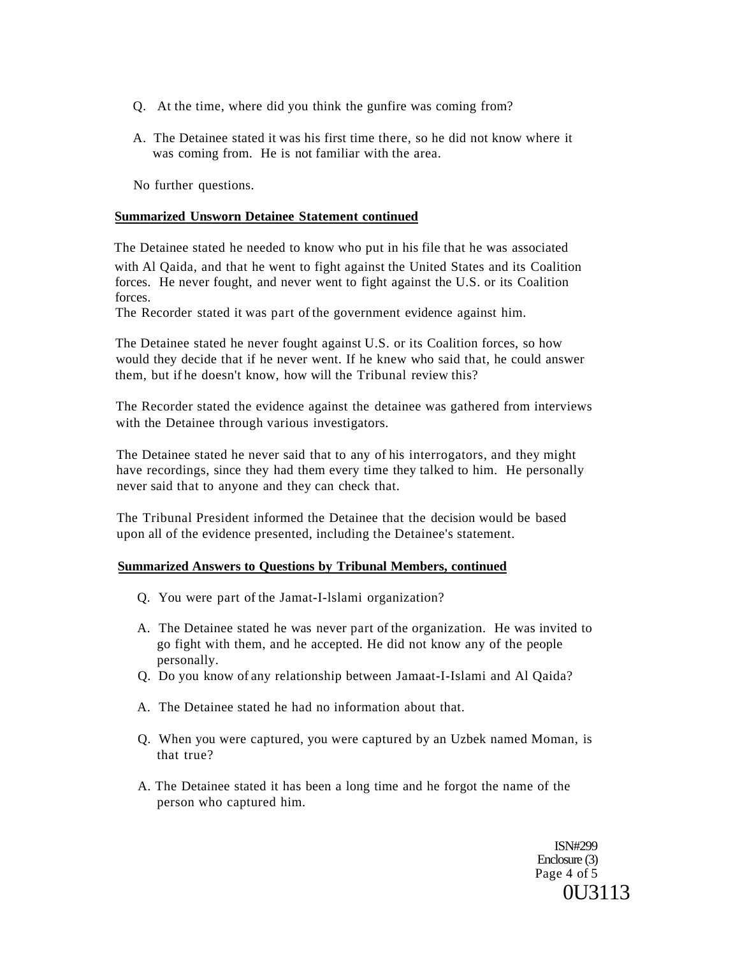- Q. At the time, where did you think the gunfire was coming from?
- A. The Detainee stated it was his first time there, so he did not know where it was coming from. He is not familiar with the area.

No further questions.

#### **Summarized Unsworn Detainee Statement continued**

The Detainee stated he needed to know who put in his file that he was associated with Al Qaida, and that he went to fight against the United States and its Coalition forces. He never fought, and never went to fight against the U.S. or its Coalition forces.

The Recorder stated it was part of the government evidence against him.

The Detainee stated he never fought against U.S. or its Coalition forces, so how would they decide that if he never went. If he knew who said that, he could answer them, but if he doesn't know, how will the Tribunal review this?

The Recorder stated the evidence against the detainee was gathered from interviews with the Detainee through various investigators.

The Detainee stated he never said that to any of his interrogators, and they might have recordings, since they had them every time they talked to him. He personally never said that to anyone and they can check that.

The Tribunal President informed the Detainee that the decision would be based upon all of the evidence presented, including the Detainee's statement.

### **Summarized Answers to Questions by Tribunal Members, continued**

- Q. You were part of the Jamat-I-lslami organization?
- A. The Detainee stated he was never part of the organization. He was invited to go fight with them, and he accepted. He did not know any of the people personally.
- Q. Do you know of any relationship between Jamaat-I-Islami and Al Qaida?
- A. The Detainee stated he had no information about that.
- Q. When you were captured, you were captured by an Uzbek named Moman, is that true?
- A. The Detainee stated it has been a long time and he forgot the name of the person who captured him.

ISN#299 Enclosure (3) Page 4 of 5 0U3113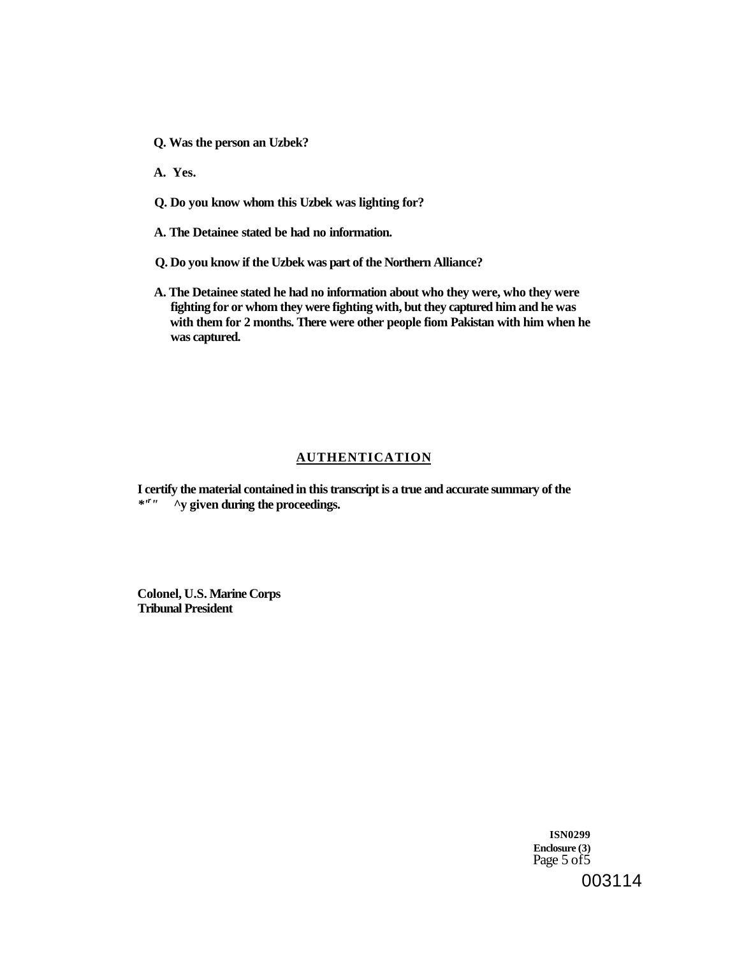**Q. Was the person an Uzbek?** 

**A. Yes.** 

- **Q. Do you know whom this Uzbek was lighting for?**
- **A. The Detainee stated be had no information.**
- **Q. Do you know if the Uzbek was part of the Northern Alliance?**
- **A. The Detainee stated he had no information about who they were, who they were fighting for or whom they were fighting with, but they captured him and he was with them for 2 months. There were other people fiom Pakistan with him when he was captured.**

#### **AUTHENTICATION**

**I certify the material contained in this transcript is a true and accurate summary of the**  *\*'r "* **^y given during the proceedings.** 

**Colonel, U.S. Marine Corps Tribunal President** 

> **ISN0299 Enclosure (3)**  Page 5 of 5 003114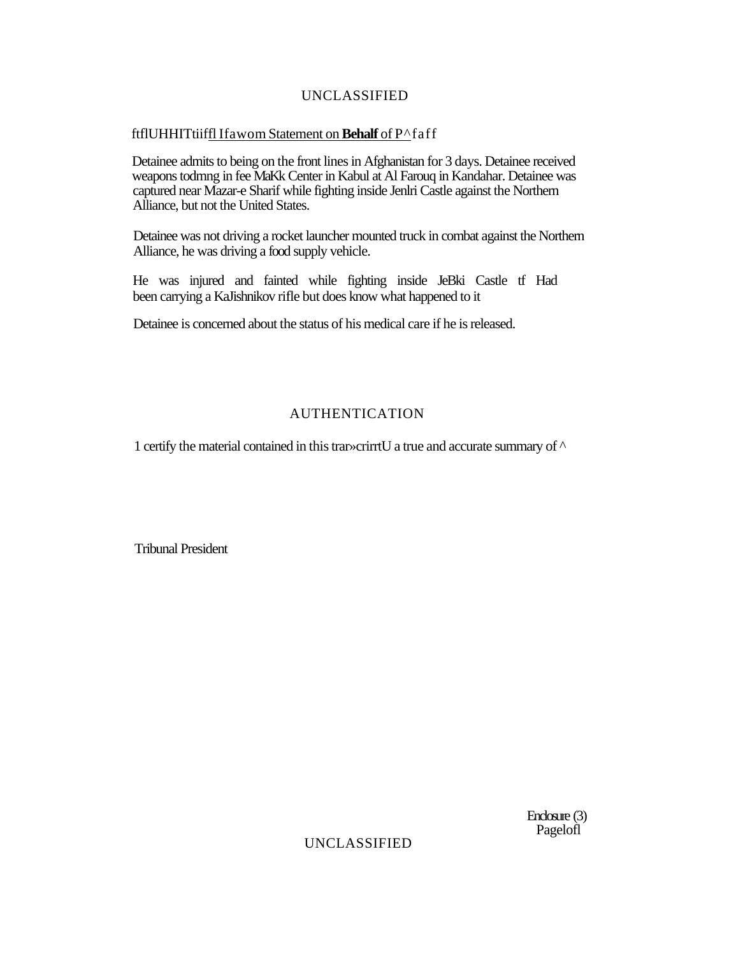# UNCLASSIFIED

## ftflUHHITtiiffl Ifawom Statement on **Behalf** of P^faff

Detainee admits to being on the front lines in Afghanistan for 3 days. Detainee received weapons todmng in fee MaKk Center in Kabul at Al Farouq in Kandahar. Detainee was captured near Mazar-e Sharif while fighting inside Jenlri Castle against the Northern Alliance, but not the United States.

Detainee was not driving a rocket launcher mounted truck in combat against the Northern Alliance, he was driving a food supply vehicle.

He was injured and fainted while fighting inside JeBki Castle tf Had been carrying a KaJishnikov rifle but does know what happened to it

Detainee is concerned about the status of his medical care if he is released.

# AUTHENTICATION

1 certify the material contained in this trar»crirrtU a true and accurate summary of ^

Tribunal President

Enclosure (3) Pagelofl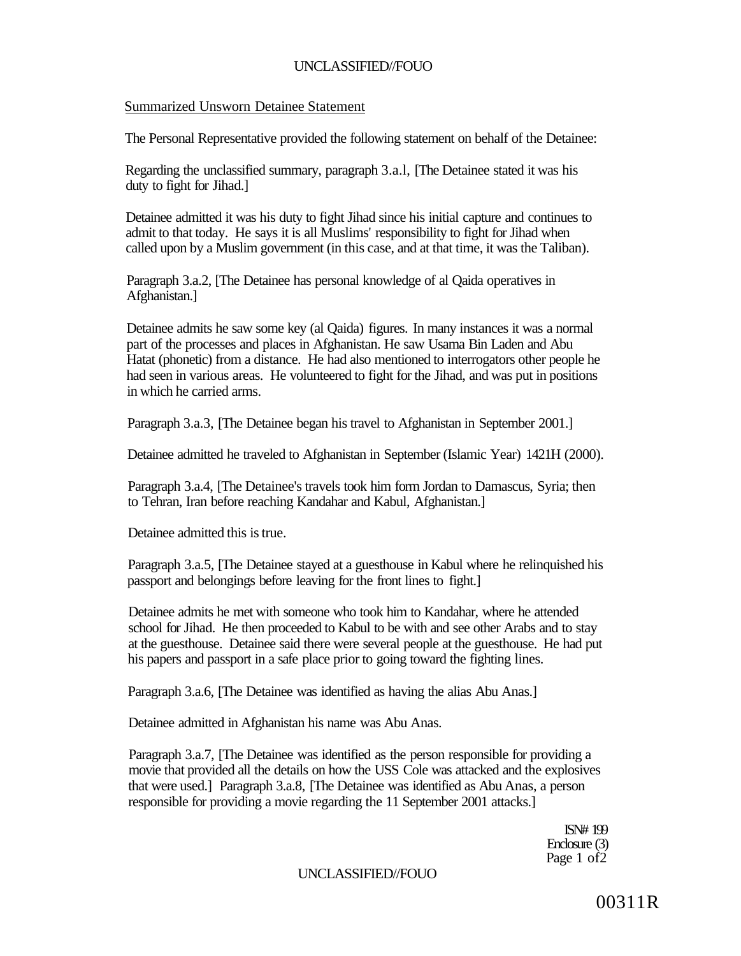## Summarized Unsworn Detainee Statement

The Personal Representative provided the following statement on behalf of the Detainee:

Regarding the unclassified summary, paragraph 3.a.l, [The Detainee stated it was his duty to fight for Jihad.]

Detainee admitted it was his duty to fight Jihad since his initial capture and continues to admit to that today. He says it is all Muslims' responsibility to fight for Jihad when called upon by a Muslim government (in this case, and at that time, it was the Taliban).

Paragraph 3.a.2, [The Detainee has personal knowledge of al Qaida operatives in Afghanistan.]

Detainee admits he saw some key (al Qaida) figures. In many instances it was a normal part of the processes and places in Afghanistan. He saw Usama Bin Laden and Abu Hatat (phonetic) from a distance. He had also mentioned to interrogators other people he had seen in various areas. He volunteered to fight for the Jihad, and was put in positions in which he carried arms.

Paragraph 3.a.3, [The Detainee began his travel to Afghanistan in September 2001.]

Detainee admitted he traveled to Afghanistan in September (Islamic Year) 1421H (2000).

Paragraph 3.a.4, [The Detainee's travels took him form Jordan to Damascus, Syria; then to Tehran, Iran before reaching Kandahar and Kabul, Afghanistan.]

Detainee admitted this is true.

Paragraph 3.a.5, [The Detainee stayed at a guesthouse in Kabul where he relinquished his passport and belongings before leaving for the front lines to fight.]

Detainee admits he met with someone who took him to Kandahar, where he attended school for Jihad. He then proceeded to Kabul to be with and see other Arabs and to stay at the guesthouse. Detainee said there were several people at the guesthouse. He had put his papers and passport in a safe place prior to going toward the fighting lines.

Paragraph 3.a.6, [The Detainee was identified as having the alias Abu Anas.]

Detainee admitted in Afghanistan his name was Abu Anas.

Paragraph 3.a.7, [The Detainee was identified as the person responsible for providing a movie that provided all the details on how the USS Cole was attacked and the explosives that were used.] Paragraph 3.a.8, [The Detainee was identified as Abu Anas, a person responsible for providing a movie regarding the 11 September 2001 attacks.]

> ISN# 199 Enclosure (3) Page 1 of2

UNCLASSIFIED//FOUO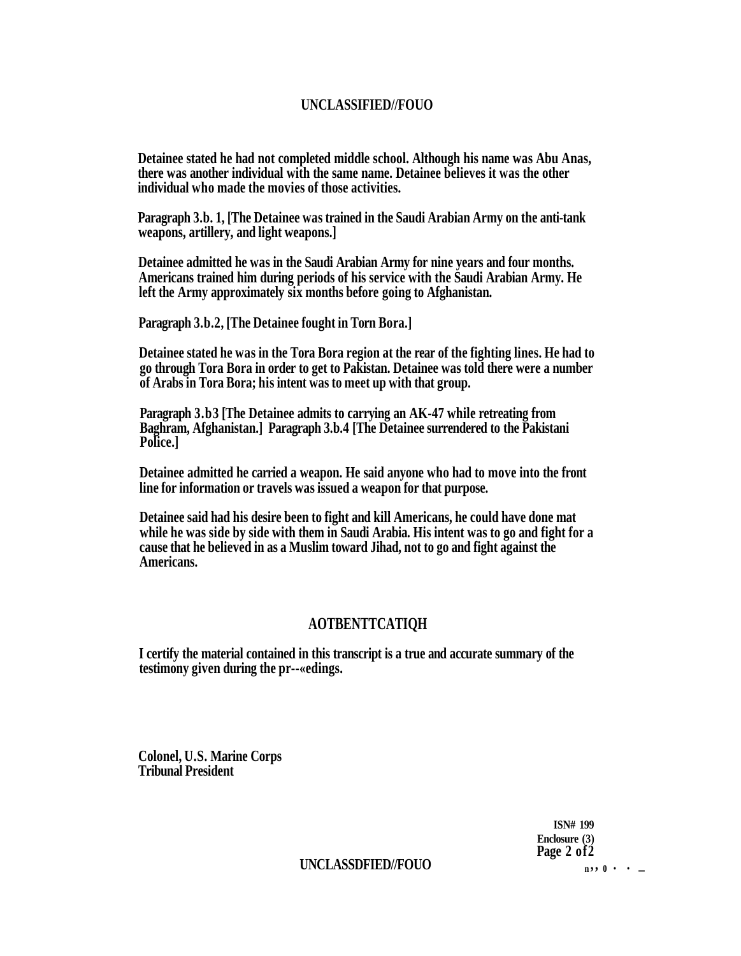**Detainee stated he had not completed middle school. Although his name was Abu Anas, there was another individual with the same name. Detainee believes it was the other individual who made the movies of those activities.** 

**Paragraph 3.b. 1, [The Detainee was trained in the Saudi Arabian Army on the anti-tank weapons, artillery, and light weapons.]** 

**Detainee admitted he was in the Saudi Arabian Army for nine years and four months. Americans trained him during periods of his service with the Saudi Arabian Army. He left the Army approximately six months before going to Afghanistan.** 

**Paragraph 3.b.2, [The Detainee fought in Torn Bora.]** 

**Detainee stated he was in the Tora Bora region at the rear of the fighting lines. He had to go through Tora Bora in order to get to Pakistan. Detainee was told there were a number of Arabs in Tora Bora; his intent was to meet up with that group.** 

**Paragraph 3.b3 [The Detainee admits to carrying an AK-47 while retreating from Baghram, Afghanistan.] Paragraph 3.b.4 [The Detainee surrendered to the Pakistani Police.]** 

**Detainee admitted he carried a weapon. He said anyone who had to move into the front line for information or travels was issued a weapon for that purpose.** 

**Detainee said had his desire been to fight and kill Americans, he could have done mat while he was side by side with them in Saudi Arabia. His intent was to go and fight for a cause that he believed in as a Muslim toward Jihad, not to go and fight against the Americans.** 

## **AOTBENTTCATIQH**

**I certify the material contained in this transcript is a true and accurate summary of the testimony given during the pr--«edings.** 

**Colonel, U.S. Marine Corps Tribunal President** 

> **ISN# 199 Enclosure (3) Page 2 of2**

## $\text{UNCLASSDFIED/FOUO}$  **n**  $\text{N}$  **n**  $\text{N}$  **n**  $\text{N}$  **n**  $\text{N}$  **n**  $\text{N}$  **n**  $\text{N}$  **n**  $\text{N}$  **n**  $\text{N}$  **n**  $\text{N}$  **n**  $\text{N}$  **n**  $\text{N}$  **n**  $\text{N}$  **n**  $\text{N}$  **n**  $\text{N}$  **n**  $\text{N}$  **n**  $\text{N}$  **n**  $\text{N}$  **n**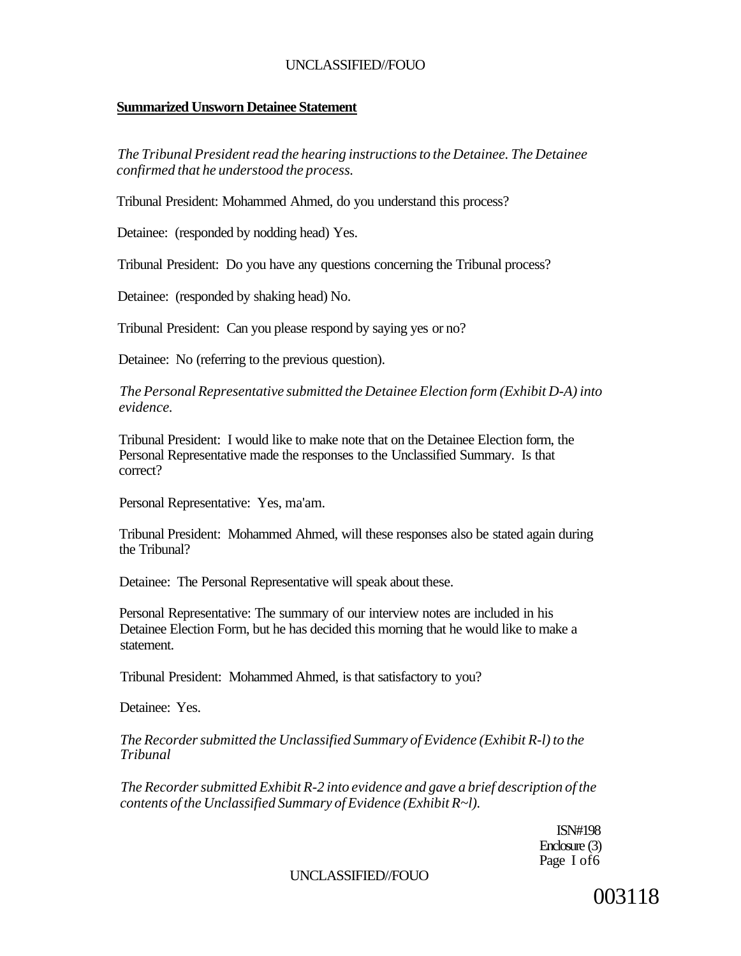#### **Summarized Unsworn Detainee Statement**

*The Tribunal President read the hearing instructions to the Detainee. The Detainee confirmed that he understood the process.* 

Tribunal President: Mohammed Ahmed, do you understand this process?

Detainee: (responded by nodding head) Yes.

Tribunal President: Do you have any questions concerning the Tribunal process?

Detainee: (responded by shaking head) No.

Tribunal President: Can you please respond by saying yes or no?

Detainee: No (referring to the previous question).

*The Personal Representative submitted the Detainee Election form (Exhibit D-A) into evidence.* 

Tribunal President: I would like to make note that on the Detainee Election form, the Personal Representative made the responses to the Unclassified Summary. Is that correct?

Personal Representative: Yes, ma'am.

Tribunal President: Mohammed Ahmed, will these responses also be stated again during the Tribunal?

Detainee: The Personal Representative will speak about these.

Personal Representative: The summary of our interview notes are included in his Detainee Election Form, but he has decided this morning that he would like to make a statement.

Tribunal President: Mohammed Ahmed, is that satisfactory to you?

Detainee: Yes.

*The Recorder submitted the Unclassified Summary of Evidence (Exhibit R-l) to the Tribunal* 

*The Recorder submitted Exhibit R-2 into evidence and gave a brief description of the contents of the Unclassified Summary of Evidence (Exhibit R~l).* 

> ISN#198 Enclosure (3) Page I of6

UNCLASSIFIED//FOUO

003118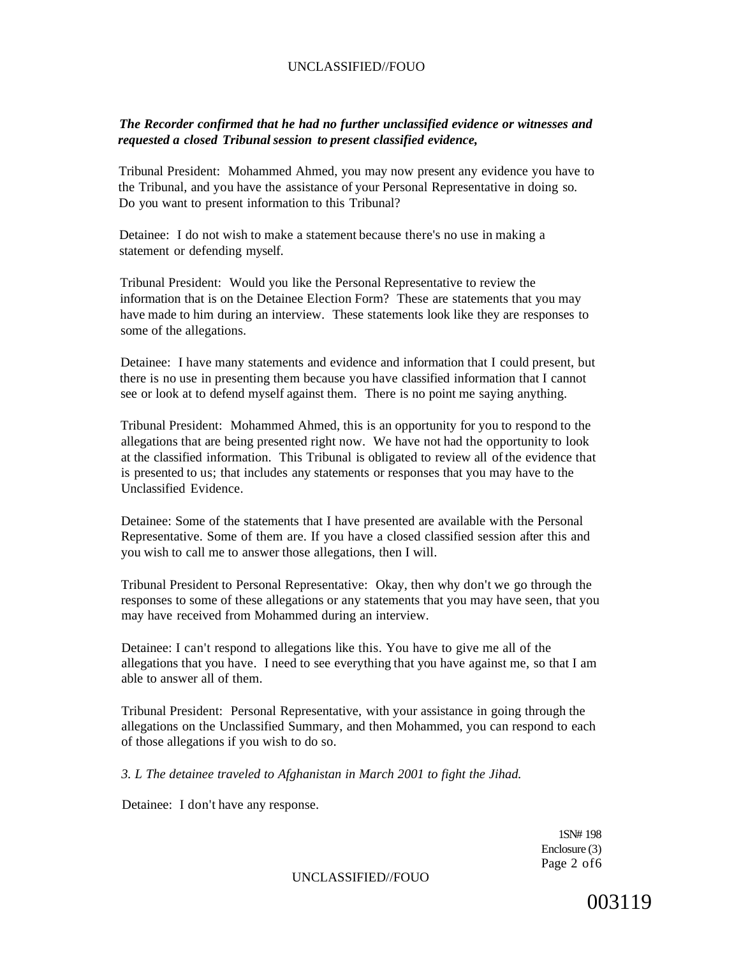### *The Recorder confirmed that he had no further unclassified evidence or witnesses and requested a closed Tribunal session to present classified evidence,*

Tribunal President: Mohammed Ahmed, you may now present any evidence you have to the Tribunal, and you have the assistance of your Personal Representative in doing so. Do you want to present information to this Tribunal?

Detainee: I do not wish to make a statement because there's no use in making a statement or defending myself.

Tribunal President: Would you like the Personal Representative to review the information that is on the Detainee Election Form? These are statements that you may have made to him during an interview. These statements look like they are responses to some of the allegations.

Detainee: I have many statements and evidence and information that I could present, but there is no use in presenting them because you have classified information that I cannot see or look at to defend myself against them. There is no point me saying anything.

Tribunal President: Mohammed Ahmed, this is an opportunity for you to respond to the allegations that are being presented right now. We have not had the opportunity to look at the classified information. This Tribunal is obligated to review all of the evidence that is presented to us; that includes any statements or responses that you may have to the Unclassified Evidence.

Detainee: Some of the statements that I have presented are available with the Personal Representative. Some of them are. If you have a closed classified session after this and you wish to call me to answer those allegations, then I will.

Tribunal President to Personal Representative: Okay, then why don't we go through the responses to some of these allegations or any statements that you may have seen, that you may have received from Mohammed during an interview.

Detainee: I can't respond to allegations like this. You have to give me all of the allegations that you have. I need to see everything that you have against me, so that I am able to answer all of them.

Tribunal President: Personal Representative, with your assistance in going through the allegations on the Unclassified Summary, and then Mohammed, you can respond to each of those allegations if you wish to do so.

*3. L The detainee traveled to Afghanistan in March 2001 to fight the Jihad.* 

Detainee: I don't have any response.

1SN# 198 Enclosure (3) Page 2 of6

UNCLASSIFIED//FOUO

003119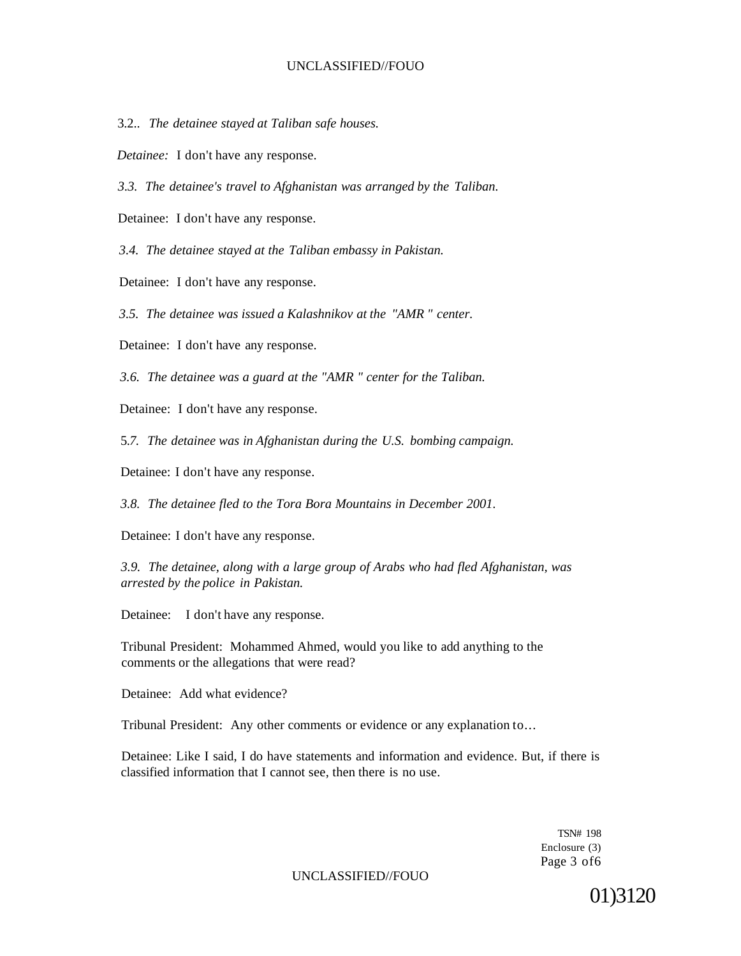3.2.. *The detainee stayed at Taliban safe houses.* 

*Detainee:* I don't have any response.

*3.3. The detainee's travel to Afghanistan was arranged by the Taliban.* 

Detainee: I don't have any response.

*3.4. The detainee stayed at the Taliban embassy in Pakistan.* 

Detainee: I don't have any response.

*3.5. The detainee was issued a Kalashnikov at the "AMR " center.* 

Detainee: I don't have any response.

*3.6. The detainee was a guard at the "AMR " center for the Taliban.* 

Detainee: I don't have any response.

5.*7. The detainee was in Afghanistan during the U.S. bombing campaign.* 

Detainee: I don't have any response.

*3.8. The detainee fled to the Tora Bora Mountains in December 2001.* 

Detainee: I don't have any response.

*3.9. The detainee, along with a large group of Arabs who had fled Afghanistan, was arrested by the police in Pakistan.* 

Detainee: I don't have any response.

Tribunal President: Mohammed Ahmed, would you like to add anything to the comments or the allegations that were read?

Detainee: Add what evidence?

Tribunal President: Any other comments or evidence or any explanation to...

Detainee: Like I said, I do have statements and information and evidence. But, if there is classified information that I cannot see, then there is no use.

> TSN# 198 Enclosure (3) Page 3 of6

UNCLASSIFIED//FOUO

01)3120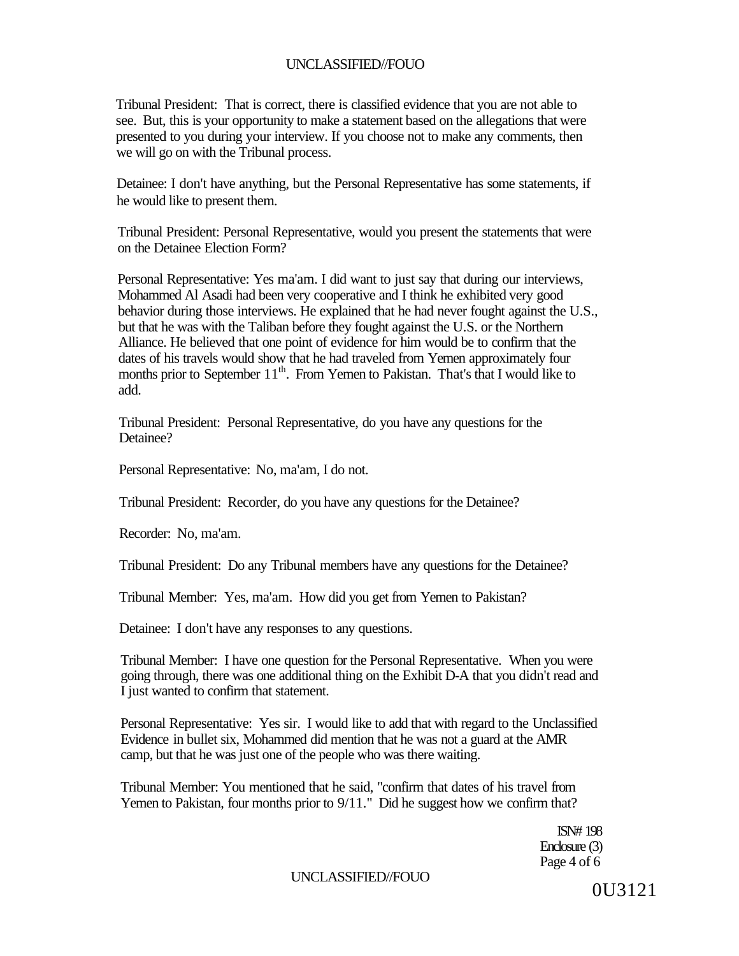Tribunal President: That is correct, there is classified evidence that you are not able to see. But, this is your opportunity to make a statement based on the allegations that were presented to you during your interview. If you choose not to make any comments, then we will go on with the Tribunal process.

Detainee: I don't have anything, but the Personal Representative has some statements, if he would like to present them.

Tribunal President: Personal Representative, would you present the statements that were on the Detainee Election Form?

Personal Representative: Yes ma'am. I did want to just say that during our interviews, Mohammed Al Asadi had been very cooperative and I think he exhibited very good behavior during those interviews. He explained that he had never fought against the U.S., but that he was with the Taliban before they fought against the U.S. or the Northern Alliance. He believed that one point of evidence for him would be to confirm that the dates of his travels would show that he had traveled from Yemen approximately four months prior to September 11<sup>th</sup>. From Yemen to Pakistan. That's that I would like to add.

Tribunal President: Personal Representative, do you have any questions for the Detainee?

Personal Representative: No, ma'am, I do not.

Tribunal President: Recorder, do you have any questions for the Detainee?

Recorder: No, ma'am.

Tribunal President: Do any Tribunal members have any questions for the Detainee?

Tribunal Member: Yes, ma'am. How did you get from Yemen to Pakistan?

Detainee: I don't have any responses to any questions.

Tribunal Member: I have one question for the Personal Representative. When you were going through, there was one additional thing on the Exhibit D-A that you didn't read and I just wanted to confirm that statement.

Personal Representative: Yes sir. I would like to add that with regard to the Unclassified Evidence in bullet six, Mohammed did mention that he was not a guard at the AMR camp, but that he was just one of the people who was there waiting.

Tribunal Member: You mentioned that he said, "confirm that dates of his travel from Yemen to Pakistan, four months prior to 9/11." Did he suggest how we confirm that?

> ISN# 198 Enclosure (3) Page 4 of 6

### UNCLASSIFIED//FOUO

0U3121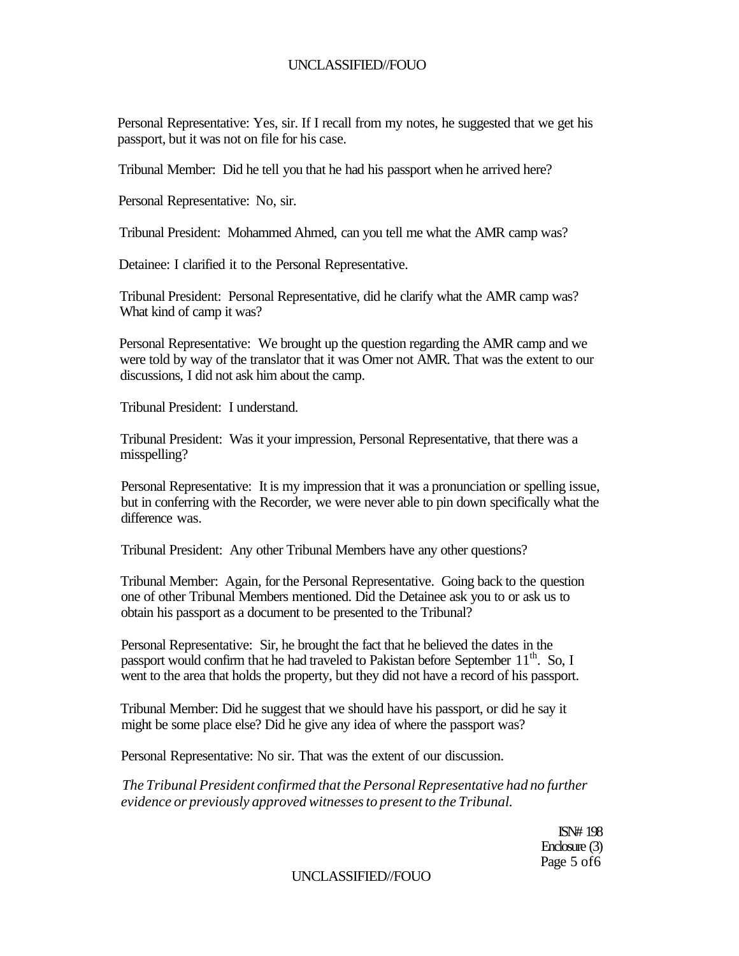Personal Representative: Yes, sir. If I recall from my notes, he suggested that we get his passport, but it was not on file for his case.

Tribunal Member: Did he tell you that he had his passport when he arrived here?

Personal Representative: No, sir.

Tribunal President: Mohammed Ahmed, can you tell me what the AMR camp was?

Detainee: I clarified it to the Personal Representative.

Tribunal President: Personal Representative, did he clarify what the AMR camp was? What kind of camp it was?

Personal Representative: We brought up the question regarding the AMR camp and we were told by way of the translator that it was Omer not AMR. That was the extent to our discussions, I did not ask him about the camp.

Tribunal President: I understand.

Tribunal President: Was it your impression, Personal Representative, that there was a misspelling?

Personal Representative: It is my impression that it was a pronunciation or spelling issue, but in conferring with the Recorder, we were never able to pin down specifically what the difference was.

Tribunal President: Any other Tribunal Members have any other questions?

Tribunal Member: Again, for the Personal Representative. Going back to the question one of other Tribunal Members mentioned. Did the Detainee ask you to or ask us to obtain his passport as a document to be presented to the Tribunal?

Personal Representative: Sir, he brought the fact that he believed the dates in the passport would confirm that he had traveled to Pakistan before September 11<sup>th</sup>. So, I went to the area that holds the property, but they did not have a record of his passport.

Tribunal Member: Did he suggest that we should have his passport, or did he say it might be some place else? Did he give any idea of where the passport was?

Personal Representative: No sir. That was the extent of our discussion.

*The Tribunal President confirmed that the Personal Representative had no further evidence or previously approved witnesses to present to the Tribunal.* 

> ISN# 198 Enclosure (3) Page 5 of6

UNCLASSIFIED//FOUO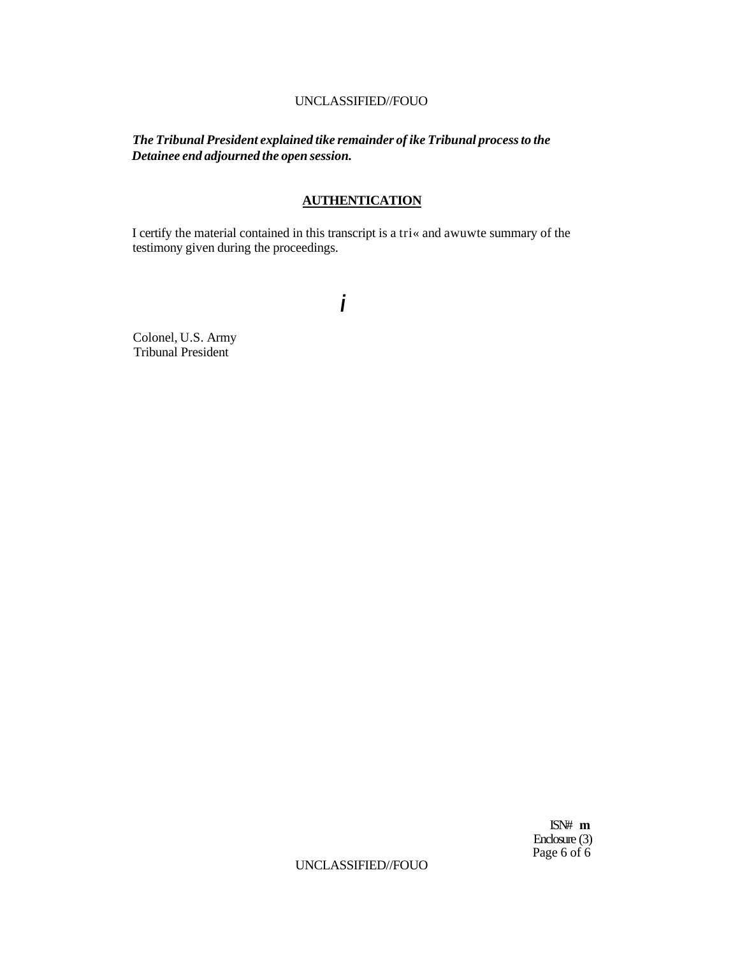*The Tribunal President explained tike remainder of ike Tribunal process to the Detainee end adjourned the open session.* 

## **AUTHENTICATION**

I certify the material contained in this transcript is a tri« and awuwte summary of the testimony given during the proceedings.

**i** 

Colonel, U.S. Army Tribunal President

> ISN# **m**  Enclosure (3) Page 6 of 6

UNCLASSIFIED//FOUO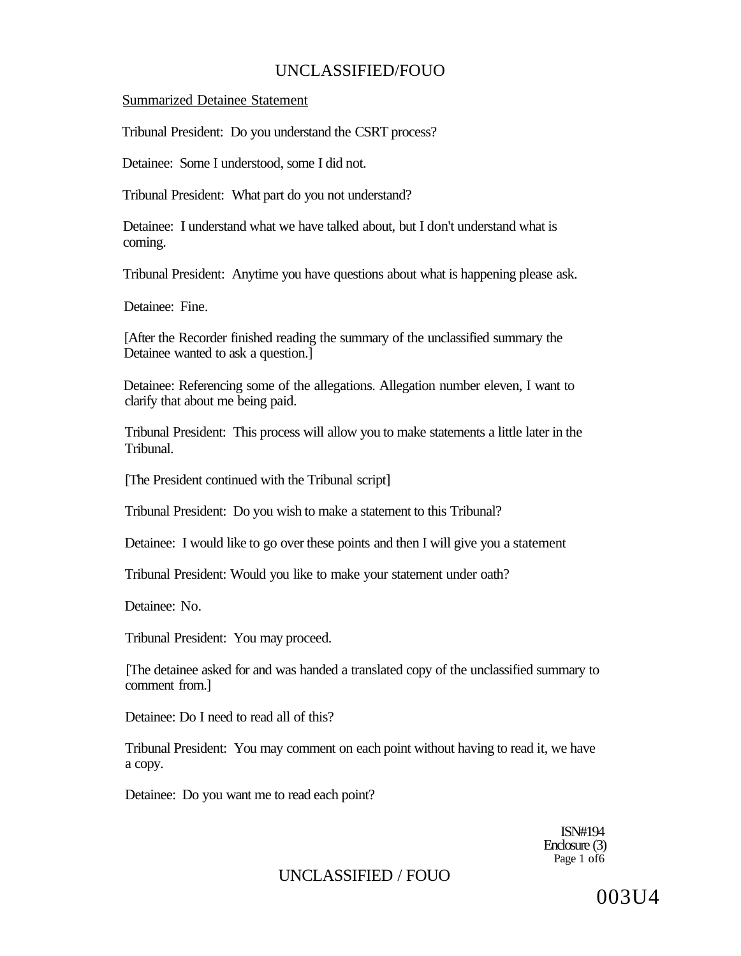Summarized Detainee Statement

Tribunal President: Do you understand the CSRT process?

Detainee: Some I understood, some I did not.

Tribunal President: What part do you not understand?

Detainee: I understand what we have talked about, but I don't understand what is coming.

Tribunal President: Anytime you have questions about what is happening please ask.

Detainee: Fine.

[After the Recorder finished reading the summary of the unclassified summary the Detainee wanted to ask a question.]

Detainee: Referencing some of the allegations. Allegation number eleven, I want to clarify that about me being paid.

Tribunal President: This process will allow you to make statements a little later in the Tribunal.

[The President continued with the Tribunal script]

Tribunal President: Do you wish to make a statement to this Tribunal?

Detainee: I would like to go over these points and then I will give you a statement

Tribunal President: Would you like to make your statement under oath?

Detainee: No.

Tribunal President: You may proceed.

[The detainee asked for and was handed a translated copy of the unclassified summary to comment from.]

Detainee: Do I need to read all of this?

Tribunal President: You may comment on each point without having to read it, we have a copy.

Detainee: Do you want me to read each point?

ISN#194 Enclosure (3) Page 1 of 6

UNCLASSIFIED / FOUO

003U4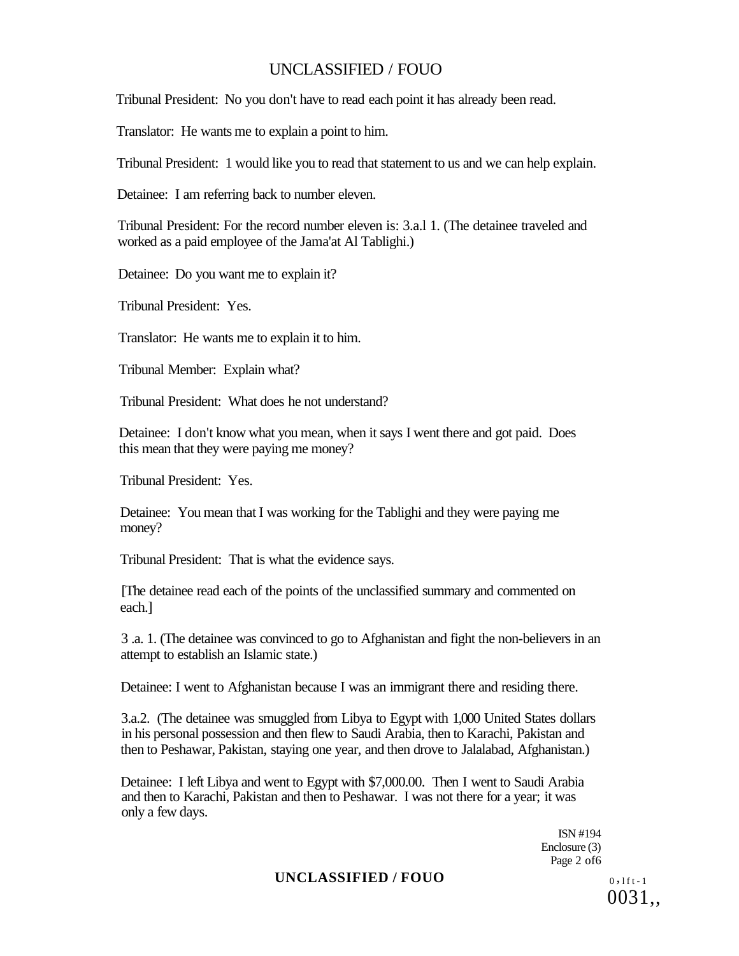Tribunal President: No you don't have to read each point it has already been read.

Translator: He wants me to explain a point to him.

Tribunal President: 1 would like you to read that statement to us and we can help explain.

Detainee: I am referring back to number eleven.

Tribunal President: For the record number eleven is: 3.a.l 1. (The detainee traveled and worked as a paid employee of the Jama'at Al Tablighi.)

Detainee: Do you want me to explain it?

Tribunal President: Yes.

Translator: He wants me to explain it to him.

Tribunal Member: Explain what?

Tribunal President: What does he not understand?

Detainee: I don't know what you mean, when it says I went there and got paid. Does this mean that they were paying me money?

Tribunal President: Yes.

Detainee: You mean that I was working for the Tablighi and they were paying me money?

Tribunal President: That is what the evidence says.

[The detainee read each of the points of the unclassified summary and commented on each.]

3 .a. 1. (The detainee was convinced to go to Afghanistan and fight the non-believers in an attempt to establish an Islamic state.)

Detainee: I went to Afghanistan because I was an immigrant there and residing there.

3.a.2. (The detainee was smuggled from Libya to Egypt with 1,000 United States dollars in his personal possession and then flew to Saudi Arabia, then to Karachi, Pakistan and then to Peshawar, Pakistan, staying one year, and then drove to Jalalabad, Afghanistan.)

Detainee: I left Libya and went to Egypt with \$7,000.00. Then I went to Saudi Arabia and then to Karachi, Pakistan and then to Peshawar. I was not there for a year; it was only a few days.

> ISN #194 Enclosure (3) Page 2 of6

## **UNCLASSIFIED / FOUO** 0, 1ft-1

 $0031$ ,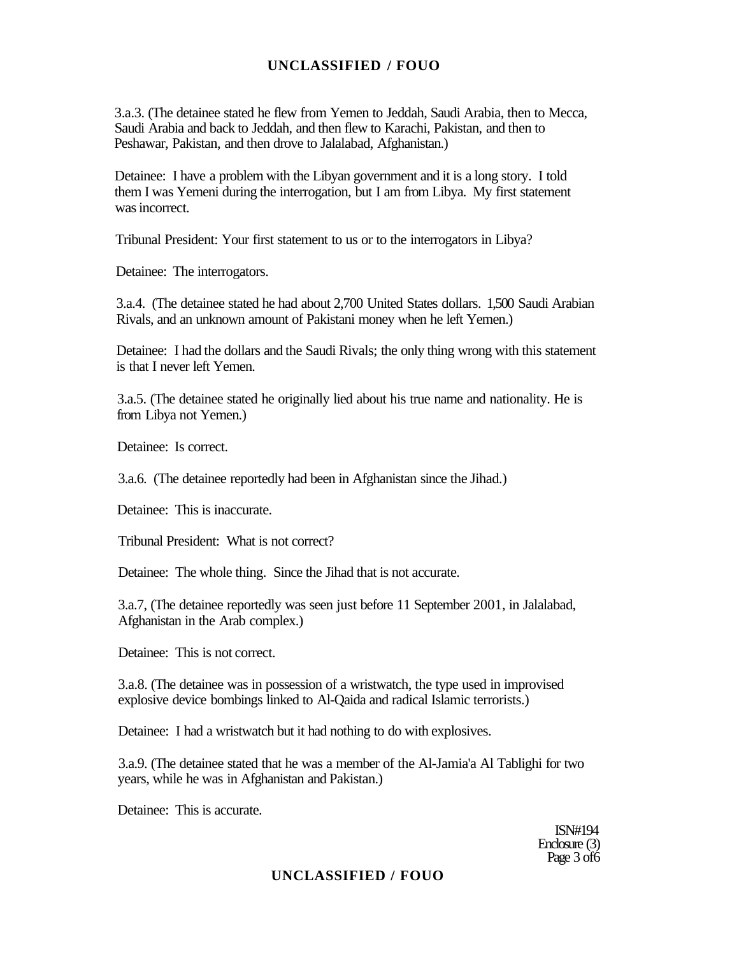3.a.3. (The detainee stated he flew from Yemen to Jeddah, Saudi Arabia, then to Mecca, Saudi Arabia and back to Jeddah, and then flew to Karachi, Pakistan, and then to Peshawar, Pakistan, and then drove to Jalalabad, Afghanistan.)

Detainee: I have a problem with the Libyan government and it is a long story. I told them I was Yemeni during the interrogation, but I am from Libya. My first statement was incorrect.

Tribunal President: Your first statement to us or to the interrogators in Libya?

Detainee: The interrogators.

3.a.4. (The detainee stated he had about 2,700 United States dollars. 1,500 Saudi Arabian Rivals, and an unknown amount of Pakistani money when he left Yemen.)

Detainee: I had the dollars and the Saudi Rivals; the only thing wrong with this statement is that I never left Yemen.

3.a.5. (The detainee stated he originally lied about his true name and nationality. He is from Libya not Yemen.)

Detainee: Is correct.

3.a.6. (The detainee reportedly had been in Afghanistan since the Jihad.)

Detainee: This is inaccurate.

Tribunal President: What is not correct?

Detainee: The whole thing. Since the Jihad that is not accurate.

3.a.7, (The detainee reportedly was seen just before 11 September 2001, in Jalalabad, Afghanistan in the Arab complex.)

Detainee: This is not correct.

3.a.8. (The detainee was in possession of a wristwatch, the type used in improvised explosive device bombings linked to Al-Qaida and radical Islamic terrorists.)

Detainee: I had a wristwatch but it had nothing to do with explosives.

3.a.9. (The detainee stated that he was a member of the Al-Jamia'a Al Tablighi for two years, while he was in Afghanistan and Pakistan.)

Detainee: This is accurate.

ISN#194 Enclosure (3) Page 3 of 6

## **UNCLASSIFIED / FOUO**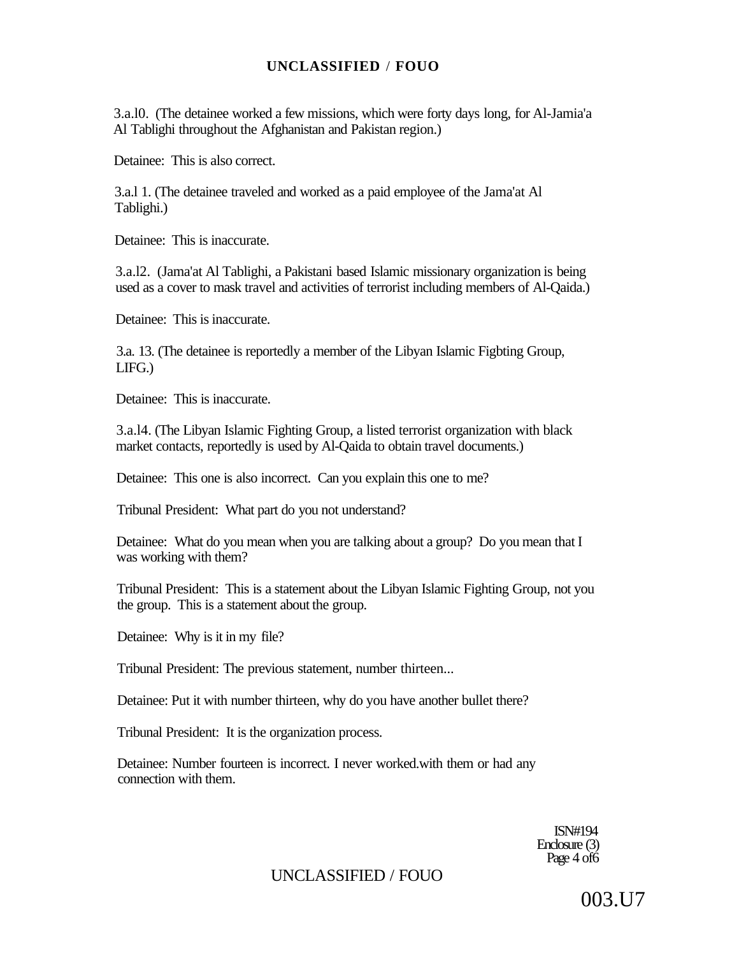3.a.l0. (The detainee worked a few missions, which were forty days long, for Al-Jamia'a Al Tablighi throughout the Afghanistan and Pakistan region.)

Detainee: This is also correct.

3.a.l 1. (The detainee traveled and worked as a paid employee of the Jama'at Al Tablighi.)

Detainee: This is inaccurate.

3.a.l2. (Jama'at Al Tablighi, a Pakistani based Islamic missionary organization is being used as a cover to mask travel and activities of terrorist including members of Al-Qaida.)

Detainee: This is inaccurate.

3.a. 13. (The detainee is reportedly a member of the Libyan Islamic Figbting Group, LIFG.)

Detainee: This is inaccurate.

3.a.l4. (The Libyan Islamic Fighting Group, a listed terrorist organization with black market contacts, reportedly is used by Al-Qaida to obtain travel documents.)

Detainee: This one is also incorrect. Can you explain this one to me?

Tribunal President: What part do you not understand?

Detainee: What do you mean when you are talking about a group? Do you mean that I was working with them?

Tribunal President: This is a statement about the Libyan Islamic Fighting Group, not you the group. This is a statement about the group.

Detainee: Why is it in my file?

Tribunal President: The previous statement, number thirteen...

Detainee: Put it with number thirteen, why do you have another bullet there?

Tribunal President: It is the organization process.

Detainee: Number fourteen is incorrect. I never worked.with them or had any connection with them.

> ISN#194 Enclosure (3) Page 4 of 6

UNCLASSIFIED / FOUO

003.U7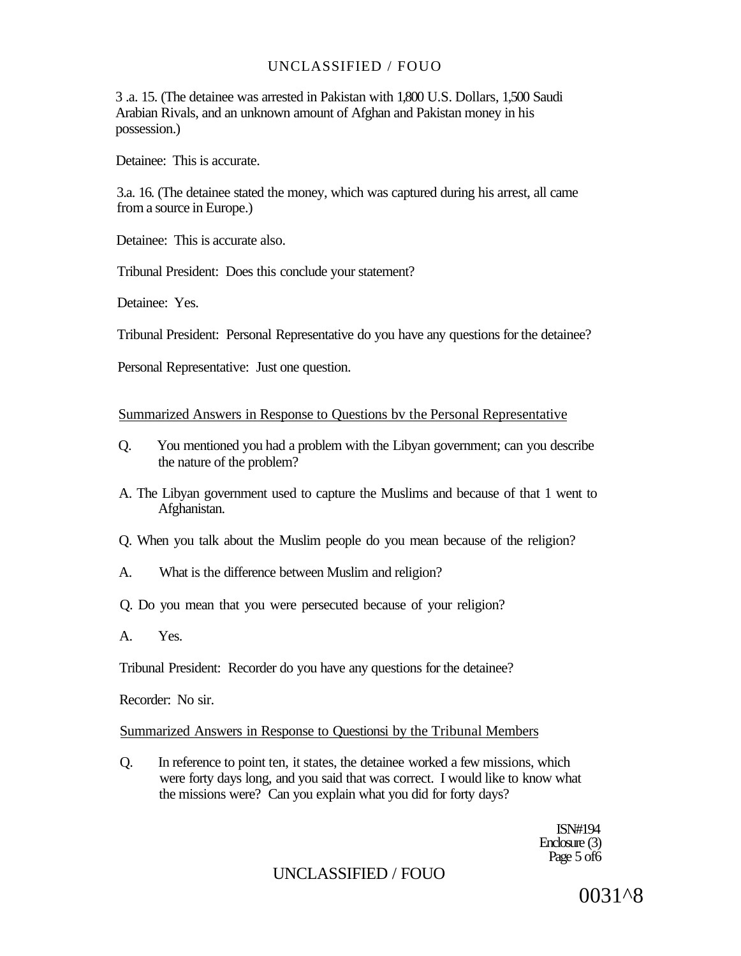3 .a. 15. (The detainee was arrested in Pakistan with 1,800 U.S. Dollars, 1,500 Saudi Arabian Rivals, and an unknown amount of Afghan and Pakistan money in his possession.)

Detainee: This is accurate.

3.a. 16. (The detainee stated the money, which was captured during his arrest, all came from a source in Europe.)

Detainee: This is accurate also.

Tribunal President: Does this conclude your statement?

Detainee: Yes.

Tribunal President: Personal Representative do you have any questions for the detainee?

Personal Representative: Just one question.

#### Summarized Answers in Response to Questions bv the Personal Representative

- Q. You mentioned you had a problem with the Libyan government; can you describe the nature of the problem?
- A. The Libyan government used to capture the Muslims and because of that 1 went to Afghanistan.
- Q. When you talk about the Muslim people do you mean because of the religion?
- A. What is the difference between Muslim and religion?
- Q. Do you mean that you were persecuted because of your religion?
- A. Yes.

Tribunal President: Recorder do you have any questions for the detainee?

Recorder: No sir.

### Summarized Answers in Response to Questionsi by the Tribunal Members

Q. In reference to point ten, it states, the detainee worked a few missions, which were forty days long, and you said that was correct. I would like to know what the missions were? Can you explain what you did for forty days?

> ISN#194 Enclosure (3) Page 5 of 6

## UNCLASSIFIED / FOUO

0031^8